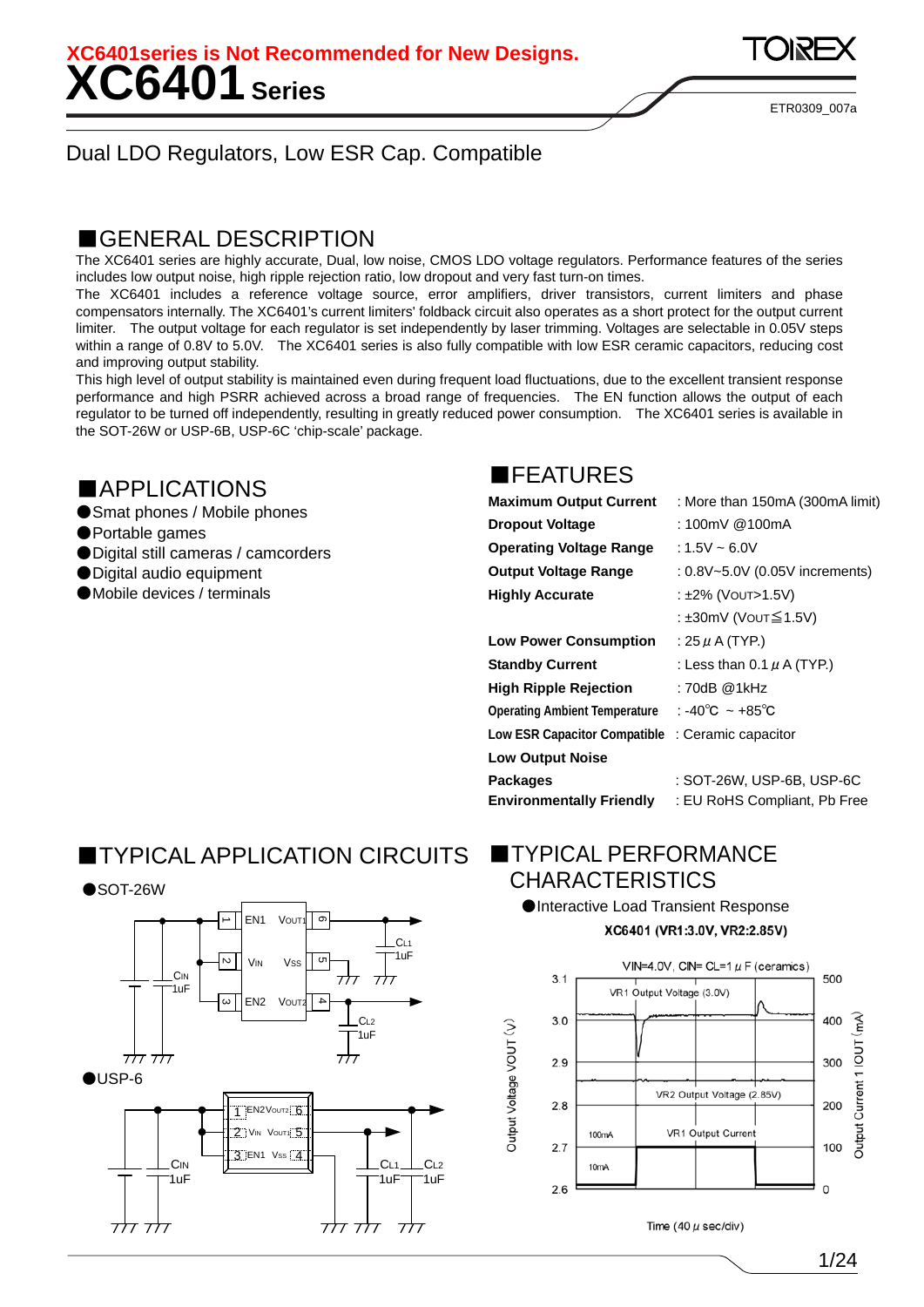**XC6401 Series XC6401series is Not Recommended for New Designs.** 

ETR0309\_007a

#### Dual LDO Regulators, Low ESR Cap. Compatible

#### ■GENERAL DESCRIPTION

The XC6401 series are highly accurate, Dual, low noise, CMOS LDO voltage regulators. Performance features of the series includes low output noise, high ripple rejection ratio, low dropout and very fast turn-on times.

The XC6401 includes a reference voltage source, error amplifiers, driver transistors, current limiters and phase compensators internally. The XC6401's current limiters' foldback circuit also operates as a short protect for the output current limiter. The output voltage for each regulator is set independently by laser trimming. Voltages are selectable in 0.05V steps within a range of 0.8V to 5.0V. The XC6401 series is also fully compatible with low ESR ceramic capacitors, reducing cost and improving output stability.

This high level of output stability is maintained even during frequent load fluctuations, due to the excellent transient response performance and high PSRR achieved across a broad range of frequencies. The EN function allows the output of each regulator to be turned off independently, resulting in greatly reduced power consumption. The XC6401 series is available in the SOT-26W or USP-6B, USP-6C 'chip-scale' package.

#### ■APPLICATIONS

- Smat phones / Mobile phones
- ●Portable games
- Digital still cameras / camcorders
- Digital audio equipment
- Mobile devices / terminals

### ■FEATURES

| <b>Maximum Output Current</b>        | : More than 150mA (300mA limit) |
|--------------------------------------|---------------------------------|
| <b>Dropout Voltage</b>               | : 100mV @100mA                  |
| <b>Operating Voltage Range</b>       | : 1.5V ~ 6.0V                   |
| <b>Output Voltage Range</b>          | : 0.8V~5.0V (0.05V increments)  |
| <b>Highly Accurate</b>               | : ±2% (VOUT>1.5V)               |
|                                      | : ±30mV (Vo∪⊤≦1.5V)             |
| <b>Low Power Consumption</b>         | : 25 $\mu$ A (TYP.)             |
| <b>Standby Current</b>               | : Less than $0.1 \mu$ A (TYP.)  |
| <b>High Ripple Rejection</b>         | : 70dB @1kHz                    |
| <b>Operating Ambient Temperature</b> | : -40°C ~ +85°C                 |
| <b>Low ESR Capacitor Compatible</b>  | : Ceramic capacitor             |
| <b>Low Output Noise</b>              |                                 |
| <b>Packages</b>                      | : SOT-26W, USP-6B, USP-6C       |
| <b>Environmentally Friendly</b>      | : EU RoHS Compliant, Pb Free    |

### ■TYPICAL APPLICATION CIRCUITS ■TYPICAL PERFORMANCE



# **CHARACTERISTICS**

●Interactive Load Transient Response XC6401 (VR1:3.0V, VR2:2.85V)

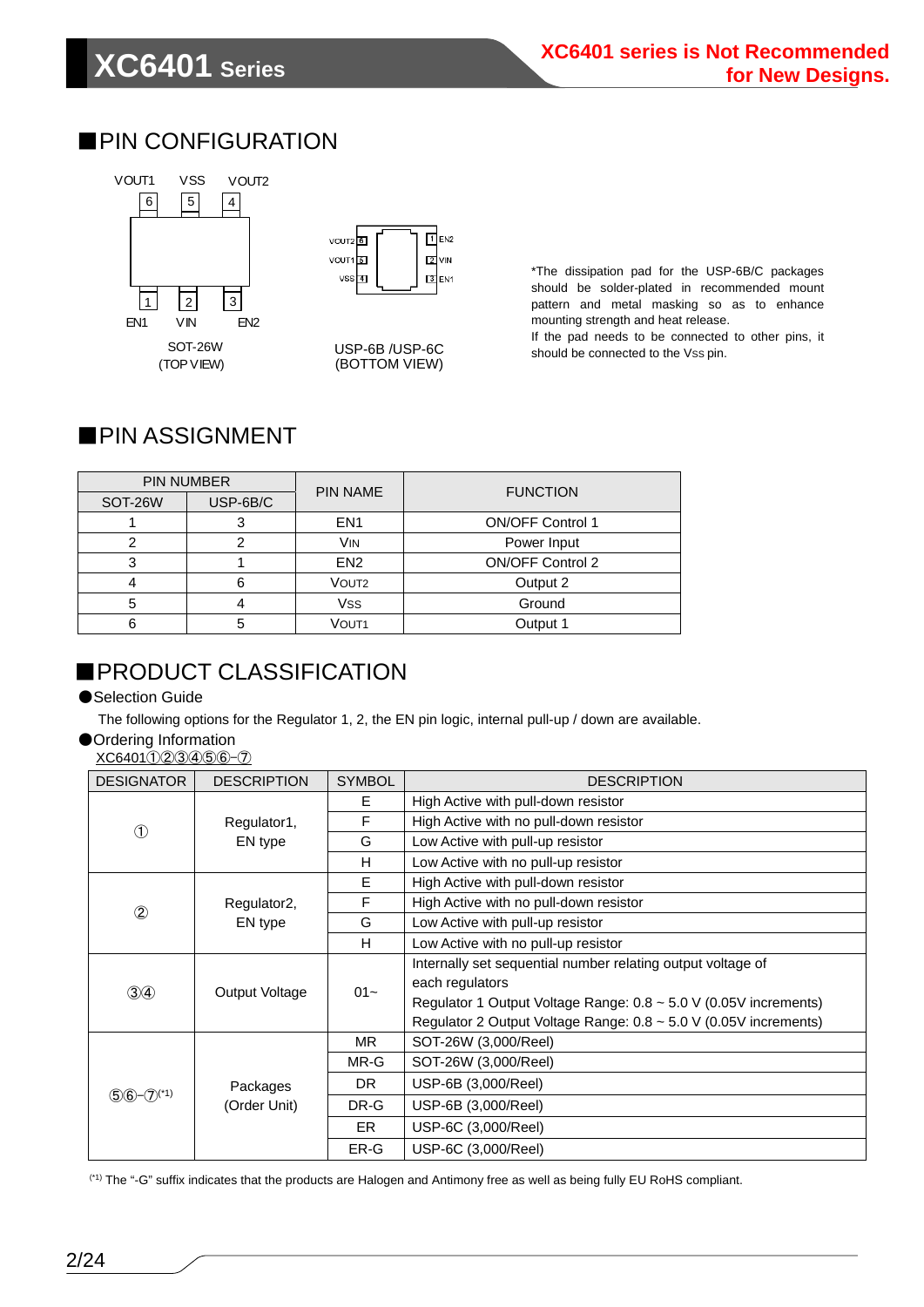### ■PIN CONFIGURATION





USP-6B /USP-6C (BOTTOM VIEW)

\*The dissipation pad for the USP-6B/C packages should be solder-plated in recommended mount pattern and metal masking so as to enhance mounting strength and heat release.

If the pad needs to be connected to other pins, it should be connected to the Vss pin.

### ■PIN ASSIGNMENT

| PIN NUMBER |          | <b>PIN NAME</b>   | <b>FUNCTION</b>         |  |
|------------|----------|-------------------|-------------------------|--|
| SOT-26W    | USP-6B/C |                   |                         |  |
|            |          | EN <sub>1</sub>   | <b>ON/OFF Control 1</b> |  |
|            |          | VIN               | Power Input             |  |
| 3          |          | EN <sub>2</sub>   | ON/OFF Control 2        |  |
|            |          | VOUT <sub>2</sub> | Output 2                |  |
| 5          |          | Vss               | Ground                  |  |
| 6          |          | VOUT <sub>1</sub> | Output 1                |  |

### **EPRODUCT CLASSIFICATION**

#### ● Selection Guide

The following options for the Regulator 1, 2, the EN pin logic, internal pull-up / down are available.

#### ●Ordering Information

#### XC6401①②③④⑤⑥-⑦

| <b>DESIGNATOR</b>        | <b>DESCRIPTION</b>       | <b>SYMBOL</b> | <b>DESCRIPTION</b>                                                    |
|--------------------------|--------------------------|---------------|-----------------------------------------------------------------------|
|                          |                          | Е             | High Active with pull-down resistor                                   |
| $\circledcirc$           | Regulator1,              | F             | High Active with no pull-down resistor                                |
|                          | EN type                  | G             | Low Active with pull-up resistor                                      |
|                          |                          | H             | Low Active with no pull-up resistor                                   |
|                          |                          | E             | High Active with pull-down resistor                                   |
| $^{\circledR}$           | Regulator <sub>2</sub> , | F             | High Active with no pull-down resistor                                |
|                          | EN type                  | G             | Low Active with pull-up resistor                                      |
|                          |                          | H             | Low Active with no pull-up resistor                                   |
|                          | Output Voltage           | $01 -$        | Internally set sequential number relating output voltage of           |
| $\circled{3}$            |                          |               | each regulators                                                       |
|                          |                          |               | Regulator 1 Output Voltage Range: $0.8 \sim 5.0$ V (0.05V increments) |
|                          |                          |               | Regulator 2 Output Voltage Range: $0.8 \sim 5.0$ V (0.05V increments) |
|                          |                          | MR.           | SOT-26W (3,000/Reel)                                                  |
|                          |                          | MR-G          | SOT-26W (3,000/Reel)                                                  |
|                          | Packages                 | DR.           | USP-6B (3,000/Reel)                                                   |
| $56 - 7$ <sup>(*1)</sup> | (Order Unit)             | DR-G          | USP-6B (3,000/Reel)                                                   |
|                          |                          | ER.           | USP-6C (3,000/Reel)                                                   |
|                          |                          | ER-G          | USP-6C (3,000/Reel)                                                   |

(\*1) The "-G" suffix indicates that the products are Halogen and Antimony free as well as being fully EU RoHS compliant.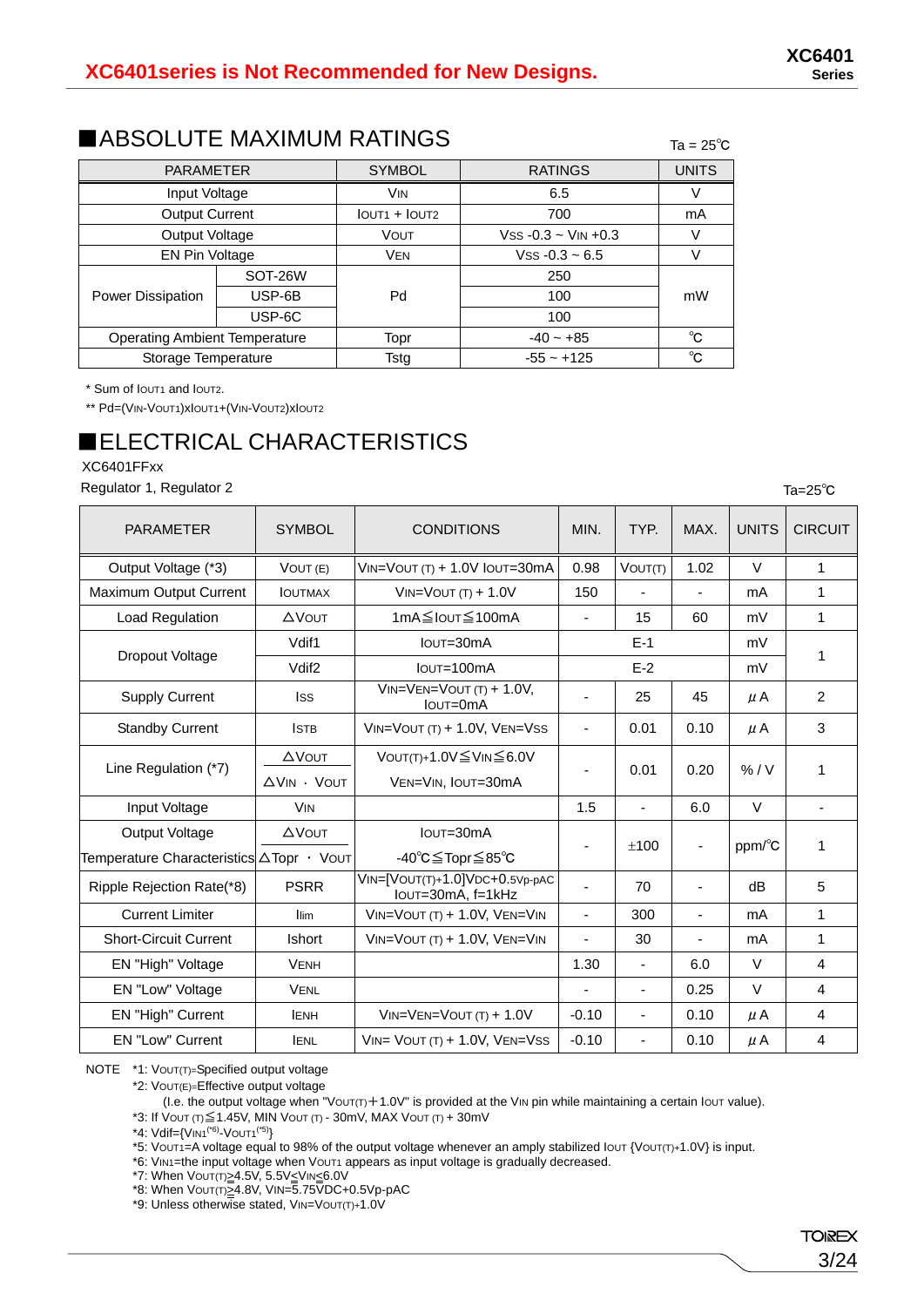#### ■ABSOLUTE MAXIMUM RATINGS  $T_{\text{a} = 25^\circ \text{c}}$

| <b>PARAMETER</b>                     |         | <b>SYMBOL</b>                         | <b>RATINGS</b>            | <b>UNITS</b> |
|--------------------------------------|---------|---------------------------------------|---------------------------|--------------|
| Input Voltage                        |         | <b>V<sub>IN</sub></b>                 | 6.5                       |              |
| <b>Output Current</b>                |         | IOUT <sub>1</sub> + IOUT <sub>2</sub> | 700                       | mA           |
| Output Voltage                       |         | VOUT                                  | $V$ ss -0.3 ~ $V$ IN +0.3 |              |
| EN Pin Voltage                       |         | <b>VEN</b>                            | $V$ ss -0.3 ~ 6.5         |              |
| Power Dissipation                    | SOT-26W |                                       | 250                       |              |
|                                      | USP-6B  | Pd                                    | 100                       | mW           |
|                                      | USP-6C  |                                       | 100                       |              |
| <b>Operating Ambient Temperature</b> |         | Topr                                  | $-40 - +85$               | $^{\circ}$ C |
| Storage Temperature                  |         | Tsta                                  | $-55 - +125$              | °C           |

\* Sum of IOUT1 and IOUT2.

\*\* Pd=(VIN-VOUT1)xIOUT1+(VIN-VOUT2)xIOUT2

# ■ELECTRICAL CHARACTERISTICS

XC6401FFxx

Regulator 1, Regulator 2

| <b>PARAMETER</b>                                           | <b>SYMBOL</b>               | <b>CONDITIONS</b>                                          | MIN.                         | TYP.                     | MAX.                     | <b>UNITS</b> | <b>CIRCUIT</b>           |
|------------------------------------------------------------|-----------------------------|------------------------------------------------------------|------------------------------|--------------------------|--------------------------|--------------|--------------------------|
| Output Voltage (*3)                                        | VOUT (E)                    | $VIN=VOUT(T) + 1.0V IOUT=30mA$                             | 0.98                         | VOUT(T)                  | 1.02                     | $\vee$       | $\mathbf{1}$             |
| Maximum Output Current                                     | <b>IOUTMAX</b>              | $VIN=VOUT(T) + 1.0V$                                       | 150                          |                          |                          | mA           | $\mathbf{1}$             |
| Load Regulation                                            | <b>AVOUT</b>                | 1mA≦Iout≤100mA                                             | $\overline{\phantom{a}}$     | 15                       | 60                       | mV           | 1                        |
|                                                            | Vdif1                       | $I$ OUT= $30$ m $A$                                        |                              | $F-1$                    |                          | mV           | 1                        |
| Dropout Voltage                                            | Vdif <sub>2</sub>           | $I$ OUT=100 $mA$                                           |                              | $E-2$                    |                          | mV           |                          |
| <b>Supply Current</b>                                      | lss                         | $VIN=VEN=VOUT(T) + 1.0V,$<br>$I$ <sub>OU</sub> $T=0$ m $A$ | -                            | 25                       | 45                       | $\mu$ A      | $\overline{c}$           |
| <b>Standby Current</b>                                     | <b>ISTB</b>                 | $VIN=VOUT(T) + 1.0V, VEN=VSS$                              | $\overline{\phantom{m}}$     | 0.01                     | 0.10                     | $\mu$ A      | 3                        |
| Line Regulation (*7)                                       | <b>AVOUT</b><br>AVIN · VOUT | VOUT(T)+1.0V $\leq$ VIN $\leq$ 6.0V<br>VEN=VIN, IOUT=30mA  | $\qquad \qquad \blacksquare$ | 0.01                     | 0.20                     | % / V        | 1                        |
| Input Voltage                                              | <b>V<sub>IN</sub></b>       |                                                            | 1.5                          | $\blacksquare$           | 6.0                      | $\vee$       | $\overline{\phantom{0}}$ |
| Output Voltage<br>Temperature Characteristics ATopr · Vout | <b>AVOUT</b>                | $I$ OUT= $30$ m $A$<br>-40℃≦Topr≦85℃                       | $\qquad \qquad \blacksquare$ | ±100                     | $\overline{\phantom{a}}$ | ppm/°C       | 1                        |
| Ripple Rejection Rate(*8)                                  | <b>PSRR</b>                 | VIN=[VOUT(T)+1.0]VDC+0.5Vp-pAC<br>IOUT=30mA, f=1kHz        |                              | 70                       | $\blacksquare$           | dB           | 5                        |
| <b>Current Limiter</b>                                     | llim                        | VIN=VOUT (T) + 1.0V, VEN=VIN                               | $\overline{\phantom{a}}$     | 300                      | ÷,                       | mA           | $\mathbf{1}$             |
| <b>Short-Circuit Current</b>                               | Ishort                      | $VIN=VOUT(T) + 1.0V, VEN=VIN$                              | ÷,                           | 30                       | ÷,                       | mA           | 1                        |
| EN "High" Voltage                                          | <b>VENH</b>                 |                                                            | 1.30                         | $\blacksquare$           | 6.0                      | $\vee$       | 4                        |
| EN "Low" Voltage                                           | <b>VENL</b>                 |                                                            | ٠                            |                          | 0.25                     | $\vee$       | 4                        |
| EN "High" Current                                          | <b>IENH</b>                 | $VIN=VEN=VOUT(T) + 1.0V$                                   | $-0.10$                      | $\overline{\phantom{0}}$ | 0.10                     | $\mu$ A      | 4                        |
| <b>EN "Low" Current</b>                                    | <b>IENL</b>                 | $VIN = VOUT(T) + 1.0V$ , $VEN=VSS$                         | $-0.10$                      | $\blacksquare$           | 0.10                     | $\mu$ A      | 4                        |

NOTE \*1: VOUT(T)=Specified output voltage

\*2: VOUT(E)=Effective output voltage

(I.e. the output voltage when "Vout( $T$ ) + 1.0V" is provided at the VIN pin while maintaining a certain lout value).

\*3: If VOUT (T)≦1.45V, MIN VOUT (T) - 30mV, MAX VOUT (T) + 30mV

\*4: Vdif={VIN1(\*6)-VOUT1(\*5)}

 $*5$ : VouT1=A voltage equal to 98% of the output voltage whenever an amply stabilized louT {VouT(T)+1.0V} is input.

\*6: VIN1=the input voltage when VOUT1 appears as input voltage is gradually decreased.

\*7: When Vout(t)≥4.5V, 5.5V≤VIN≤6.0V

\*8: When VOUT(T)>4.8V, VIN=5.75VDC+0.5Vp-pAC

\*9: Unless otherwise stated, VIN=VOUT(T)+1.0V

Ta=25℃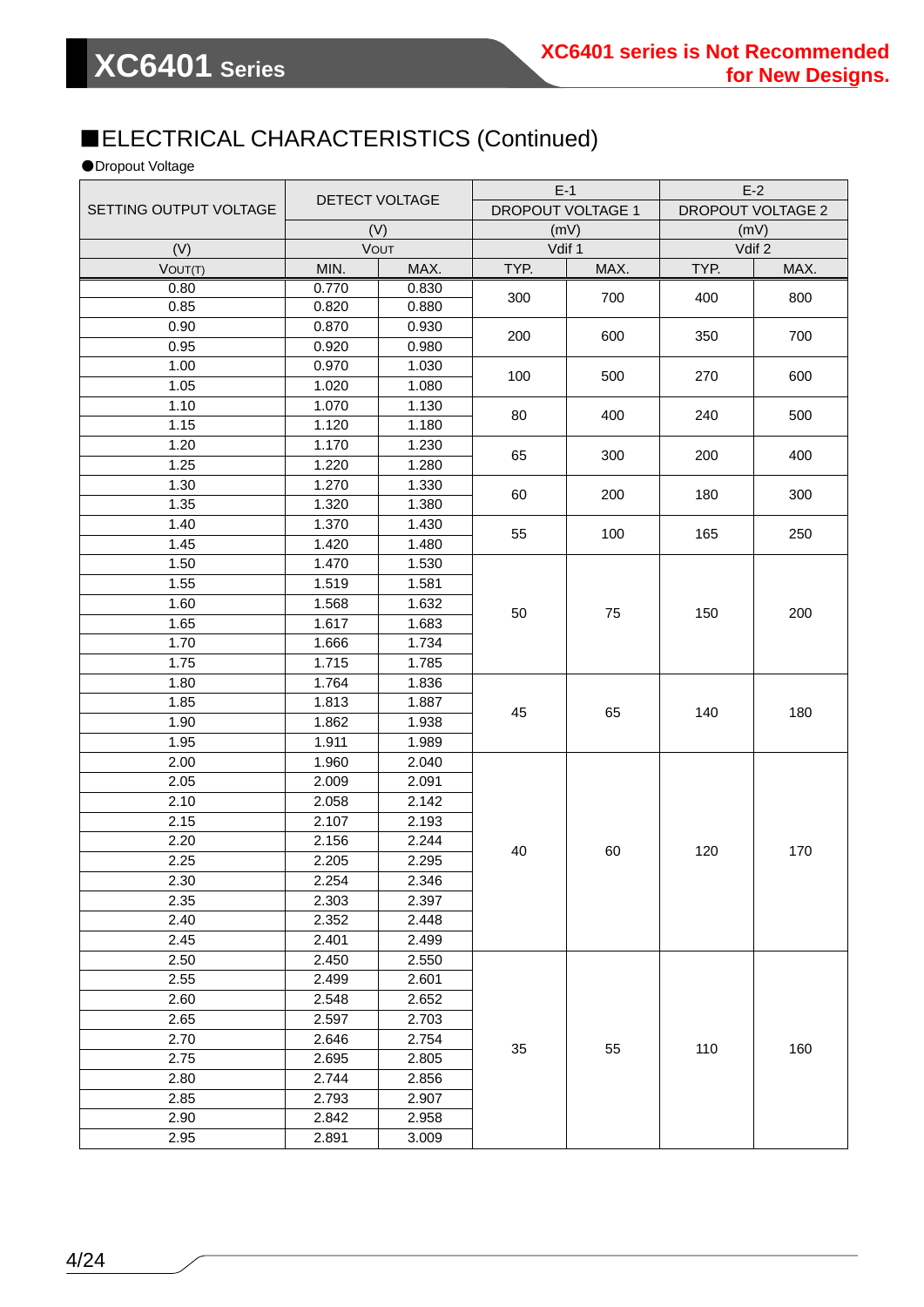## ■ELECTRICAL CHARACTERISTICS (Continued)

●Dropout Voltage

|                        | DETECT VOLTAGE     |       | $E-1$             |        | $E-2$                    |        |
|------------------------|--------------------|-------|-------------------|--------|--------------------------|--------|
| SETTING OUTPUT VOLTAGE |                    |       | DROPOUT VOLTAGE 1 |        | <b>DROPOUT VOLTAGE 2</b> |        |
|                        |                    | (V)   |                   | (mV)   |                          | (mV)   |
| (V)                    |                    | VOUT  |                   | Vdif 1 |                          | Vdif 2 |
| VOUT(T)                | MIN.               | MAX.  | TYP.              | MAX.   | TYP.                     | MAX.   |
| 0.80                   | 0.770              | 0.830 | 300               | 700    | 400                      | 800    |
| 0.85                   | 0.820              | 0.880 |                   |        |                          |        |
| 0.90                   | 0.870              | 0.930 | 200               | 600    | 350                      | 700    |
| 0.95                   | 0.920              | 0.980 |                   |        |                          |        |
| 1.00                   | 0.970              | 1.030 | 100               | 500    | 270                      | 600    |
| 1.05                   | 1.020              | 1.080 |                   |        |                          |        |
| 1.10                   | 1.070              | 1.130 | 80                | 400    | 240                      |        |
| 1.15                   | 1.120              | 1.180 |                   |        |                          | 500    |
| 1.20                   | 1.170              | 1.230 | 65                | 300    | 200                      | 400    |
| 1.25                   | 1.220              | 1.280 |                   |        |                          |        |
| 1.30                   | 1.270              | 1.330 |                   |        |                          |        |
| 1.35                   | 1.320              | 1.380 | 60                | 200    | 180                      | 300    |
| 1.40                   | 1.370              | 1.430 |                   |        |                          |        |
| 1.45                   | 1.420              | 1.480 | 55                | 100    | 165                      | 250    |
| 1.50                   | 1.470              | 1.530 |                   |        |                          |        |
| 1.55                   | 1.519              | 1.581 |                   |        |                          |        |
| 1.60                   | 1.568              | 1.632 |                   |        |                          |        |
| 1.65                   | $\overline{1.617}$ | 1.683 | 50                | 75     | 150                      | 200    |
| 1.70                   | 1.666              | 1.734 |                   |        |                          |        |
| 1.75                   | 1.715              | 1.785 |                   |        |                          |        |
| 1.80                   | 1.764              | 1.836 |                   |        | 140                      | 180    |
| 1.85                   | 1.813              | 1.887 |                   |        |                          |        |
| 1.90                   | 1.862              | 1.938 | 45                | 65     |                          |        |
| 1.95                   | 1.911              | 1.989 |                   |        |                          |        |
| 2.00                   | 1.960              | 2.040 |                   |        |                          |        |
| 2.05                   | 2.009              | 2.091 |                   |        |                          |        |
| 2.10                   | 2.058              | 2.142 |                   |        |                          |        |
| 2.15                   | 2.107              | 2.193 |                   |        |                          |        |
| 2.20                   | 2.156              | 2.244 |                   |        |                          |        |
| 2.25                   | 2.205              | 2.295 | 40                | 60     | 120                      | 170    |
| 2.30                   | 2.254              | 2.346 |                   |        |                          |        |
| 2.35                   | 2.303              | 2.397 |                   |        |                          |        |
| 2.40                   | 2.352              | 2.448 |                   |        |                          |        |
| 2.45                   | 2.401              | 2.499 |                   |        |                          |        |
| 2.50                   | 2.450              | 2.550 |                   |        |                          |        |
| 2.55                   | 2.499              | 2.601 |                   |        |                          |        |
| 2.60                   | 2.548              | 2.652 |                   |        |                          |        |
| 2.65                   | 2.597              | 2.703 |                   |        |                          |        |
| 2.70                   | 2.646              | 2.754 | 35                | 55     | 110                      | 160    |
| 2.75                   | 2.695              | 2.805 |                   |        |                          |        |
| 2.80                   | 2.744              | 2.856 |                   |        |                          |        |
| 2.85                   | 2.793              | 2.907 |                   |        |                          |        |
| 2.90                   | 2.842              | 2.958 |                   |        |                          |        |
| 2.95                   | 2.891              | 3.009 |                   |        |                          |        |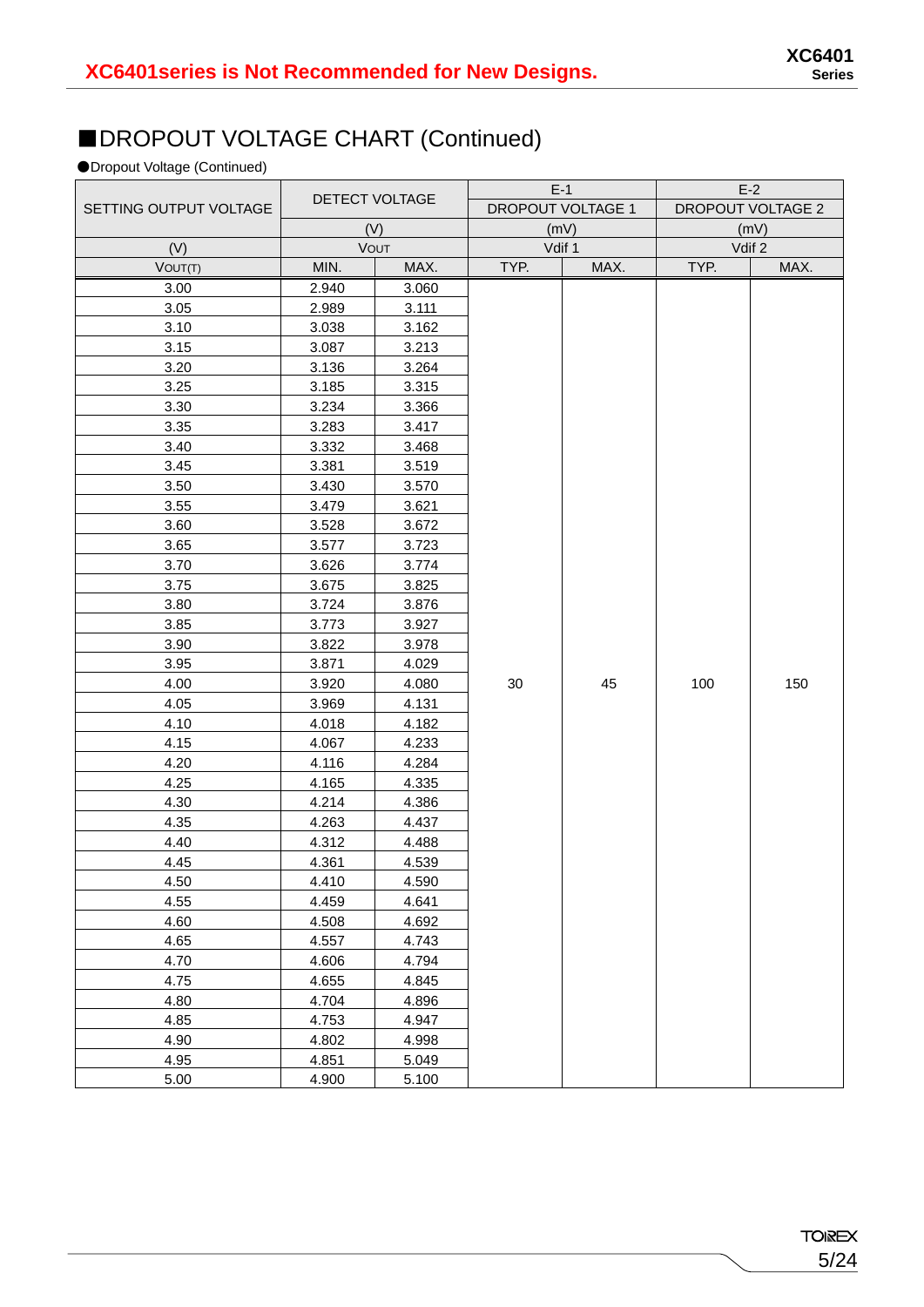## ■DROPOUT VOLTAGE CHART (Continued)

#### ●Dropout Voltage (Continued)

|                        |       |                |      | $E-1$                    |      | $E-2$             |  |
|------------------------|-------|----------------|------|--------------------------|------|-------------------|--|
| SETTING OUTPUT VOLTAGE |       | DETECT VOLTAGE |      | <b>DROPOUT VOLTAGE 1</b> |      | DROPOUT VOLTAGE 2 |  |
|                        |       | (V)            | (mV) |                          | (mV) |                   |  |
| (V)                    |       | VOUT           |      | Vdif 1                   |      | Vdif 2            |  |
| VOUT(T)                | MIN.  | MAX.           | TYP. | MAX.                     | TYP. | MAX.              |  |
| 3.00                   | 2.940 | 3.060          |      |                          |      |                   |  |
| 3.05                   | 2.989 | 3.111          |      |                          |      |                   |  |
| 3.10                   | 3.038 | 3.162          |      |                          |      |                   |  |
| 3.15                   | 3.087 | 3.213          |      |                          |      |                   |  |
| 3.20                   | 3.136 | 3.264          |      |                          |      |                   |  |
| 3.25                   | 3.185 | 3.315          |      |                          |      |                   |  |
| 3.30                   | 3.234 | 3.366          |      |                          |      |                   |  |
| 3.35                   | 3.283 | 3.417          |      |                          |      |                   |  |
| 3.40                   | 3.332 | 3.468          |      |                          |      |                   |  |
| 3.45                   | 3.381 | 3.519          |      |                          |      |                   |  |
| 3.50                   | 3.430 | 3.570          |      |                          |      |                   |  |
| 3.55                   | 3.479 | 3.621          |      |                          |      |                   |  |
| 3.60                   | 3.528 | 3.672          |      |                          |      |                   |  |
| 3.65                   | 3.577 | 3.723          |      |                          |      |                   |  |
| 3.70                   | 3.626 | 3.774          |      |                          |      |                   |  |
| 3.75                   | 3.675 | 3.825          |      |                          |      |                   |  |
| 3.80                   | 3.724 | 3.876          |      |                          |      |                   |  |
| 3.85                   | 3.773 | 3.927          |      |                          |      |                   |  |
| 3.90                   | 3.822 | 3.978          |      |                          |      |                   |  |
| 3.95                   | 3.871 | 4.029          |      |                          |      |                   |  |
| 4.00                   | 3.920 | 4.080          | 30   | 45                       | 100  | 150               |  |
| 4.05                   | 3.969 | 4.131          |      |                          |      |                   |  |
| 4.10                   | 4.018 | 4.182          |      |                          |      |                   |  |
| 4.15                   | 4.067 | 4.233          |      |                          |      |                   |  |
| 4.20                   | 4.116 | 4.284          |      |                          |      |                   |  |
| 4.25                   | 4.165 | 4.335          |      |                          |      |                   |  |
| 4.30                   | 4.214 | 4.386          |      |                          |      |                   |  |
| 4.35                   | 4.263 | 4.437          |      |                          |      |                   |  |
| 4.40                   | 4.312 | 4.488          |      |                          |      |                   |  |
| 4.45                   | 4.361 | 4.539          |      |                          |      |                   |  |
| 4.50                   | 4.410 | 4.590          |      |                          |      |                   |  |
| 4.55                   | 4.459 | 4.641          |      |                          |      |                   |  |
| 4.60                   | 4.508 | 4.692          |      |                          |      |                   |  |
| 4.65                   | 4.557 | 4.743          |      |                          |      |                   |  |
| 4.70                   | 4.606 | 4.794          |      |                          |      |                   |  |
| 4.75                   | 4.655 | 4.845          |      |                          |      |                   |  |
| 4.80                   | 4.704 | 4.896          |      |                          |      |                   |  |
| 4.85                   | 4.753 | 4.947          |      |                          |      |                   |  |
| 4.90                   | 4.802 | 4.998          |      |                          |      |                   |  |
| 4.95                   | 4.851 | 5.049          |      |                          |      |                   |  |
| 5.00                   | 4.900 | 5.100          |      |                          |      |                   |  |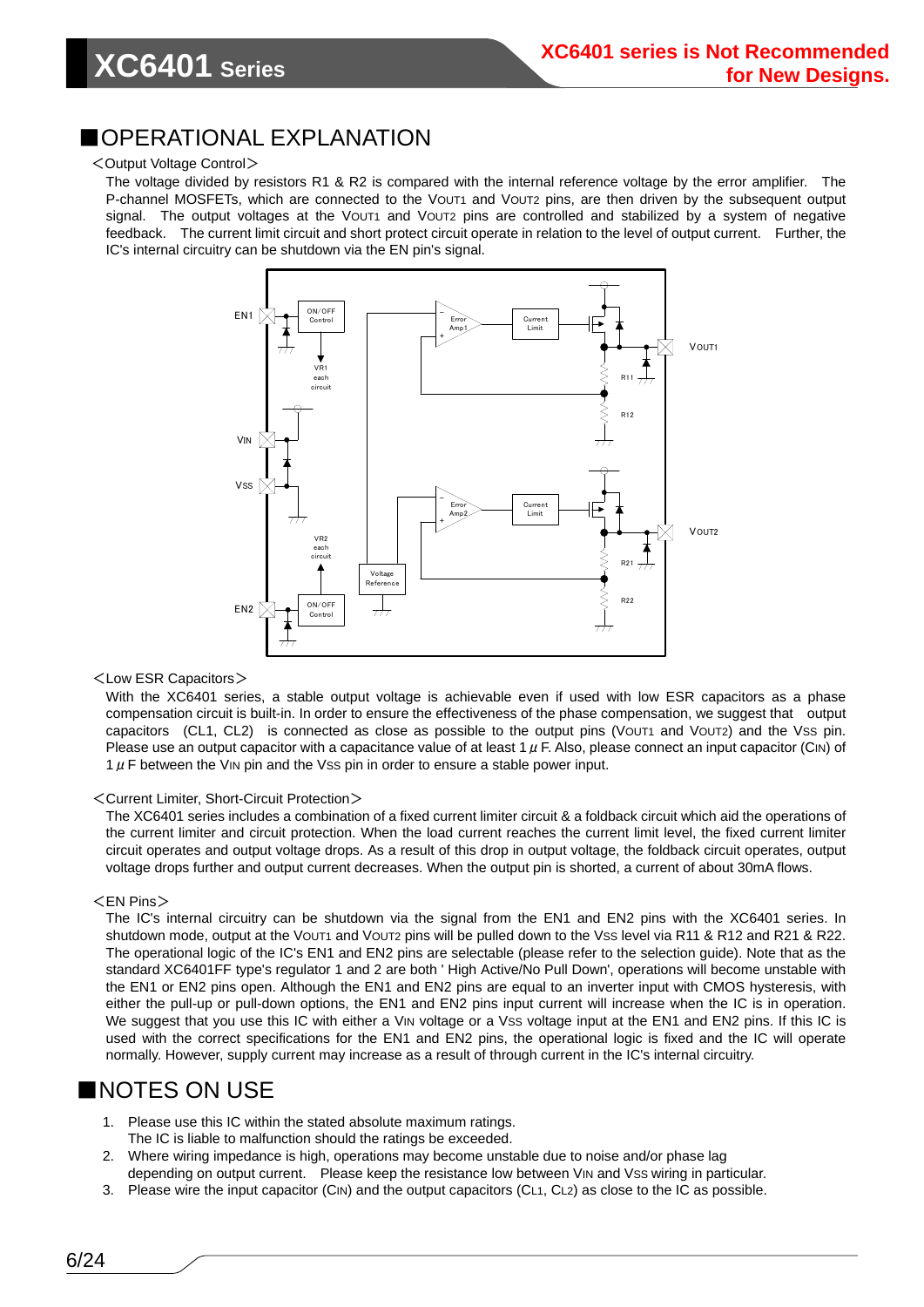#### ■OPERATIONAL EXPLANATION

#### <Output Voltage Control>

The voltage divided by resistors R1 & R2 is compared with the internal reference voltage by the error amplifier. The P-channel MOSFETs, which are connected to the VOUT1 and VOUT2 pins, are then driven by the subsequent output signal. The output voltages at the VOUT1 and VOUT2 pins are controlled and stabilized by a system of negative feedback. The current limit circuit and short protect circuit operate in relation to the level of output current. Further, the IC's internal circuitry can be shutdown via the EN pin's signal.



<Low ESR Capacitors>

With the XC6401 series, a stable output voltage is achievable even if used with low ESR capacitors as a phase compensation circuit is built-in. In order to ensure the effectiveness of the phase compensation, we suggest that output capacitors (CL1, CL2) is connected as close as possible to the output pins (VOUT1 and VOUT2) and the VSS pin. Please use an output capacitor with a capacitance value of at least 1  $\mu$  F. Also, please connect an input capacitor (CIN) of  $1 \mu$  F between the VIN pin and the Vss pin in order to ensure a stable power input.

#### <Current Limiter, Short-Circuit Protection>

The XC6401 series includes a combination of a fixed current limiter circuit & a foldback circuit which aid the operations of the current limiter and circuit protection. When the load current reaches the current limit level, the fixed current limiter circuit operates and output voltage drops. As a result of this drop in output voltage, the foldback circuit operates, output voltage drops further and output current decreases. When the output pin is shorted, a current of about 30mA flows.

#### <EN Pins>

The IC's internal circuitry can be shutdown via the signal from the EN1 and EN2 pins with the XC6401 series. In shutdown mode, output at the VOUT1 and VOUT2 pins will be pulled down to the VSS level via R11 & R12 and R21 & R22. The operational logic of the IC's EN1 and EN2 pins are selectable (please refer to the selection guide). Note that as the standard XC6401FF type's regulator 1 and 2 are both ' High Active/No Pull Down', operations will become unstable with the EN1 or EN2 pins open. Although the EN1 and EN2 pins are equal to an inverter input with CMOS hysteresis, with either the pull-up or pull-down options, the EN1 and EN2 pins input current will increase when the IC is in operation. We suggest that you use this IC with either a VIN voltage or a Vss voltage input at the EN1 and EN2 pins. If this IC is used with the correct specifications for the EN1 and EN2 pins, the operational logic is fixed and the IC will operate normally. However, supply current may increase as a result of through current in the IC's internal circuitry.

#### ■NOTES ON USE

- 1. Please use this IC within the stated absolute maximum ratings. The IC is liable to malfunction should the ratings be exceeded.
- 2. Where wiring impedance is high, operations may become unstable due to noise and/or phase lag depending on output current. Please keep the resistance low between VIN and Vss wiring in particular.
- 3. Please wire the input capacitor (CIN) and the output capacitors (CL1, CL2) as close to the IC as possible.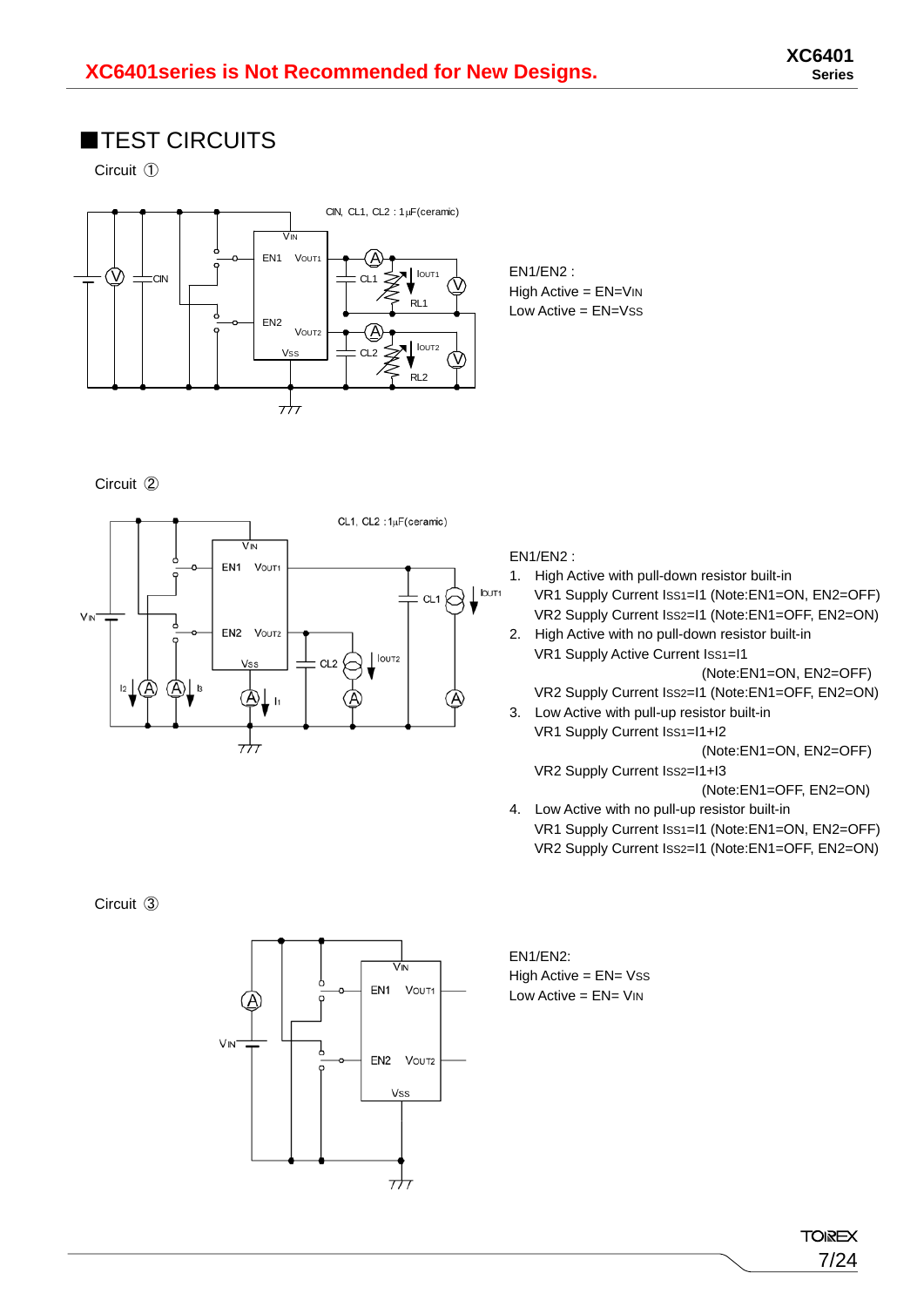### ■TEST CIRCUITS

Circuit ①



High Active = EN=VIN Low  $Active = EN = Vss$ 

EN1/EN2 :

Circuit ②



#### EN1/EN2 :

- 1. High Active with pull-down resistor built-in VR1 Supply Current ISS1=I1 (Note:EN1=ON, EN2=OFF) VR2 Supply Current ISS2=I1 (Note:EN1=OFF, EN2=ON)
- 2. High Active with no pull-down resistor built-in VR1 Supply Active Current ISS1=I1

(Note:EN1=ON, EN2=OFF)

- VR2 Supply Current ISS2=I1 (Note:EN1=OFF, EN2=ON)
- 3. Low Active with pull-up resistor built-in VR1 Supply Current ISS1=I1+I2

(Note:EN1=ON, EN2=OFF)

VR2 Supply Current ISS2=I1+I3

(Note:EN1=OFF, EN2=ON)

4. Low Active with no pull-up resistor built-in VR1 Supply Current ISS1=I1 (Note:EN1=ON, EN2=OFF) VR2 Supply Current ISS2=I1 (Note:EN1=OFF, EN2=ON)

Circuit ③



EN1/EN2: High Active = EN= Vss Low Active  $=$  EN $=$  VIN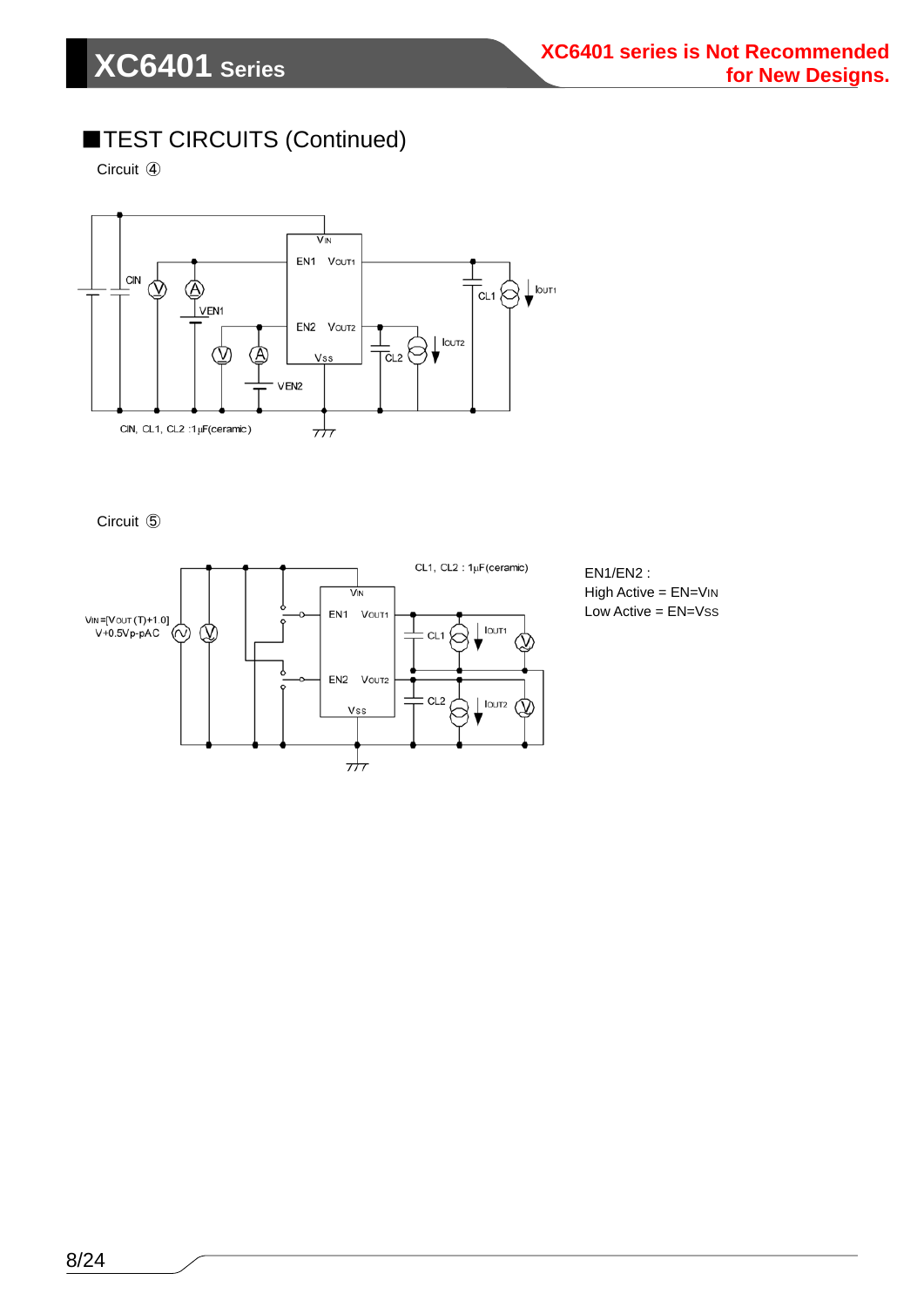### ■TEST CIRCUITS (Continued)

Circuit ④



Circuit ⑤



EN1/EN2 : High Active = EN=VIN Low Active = EN=Vss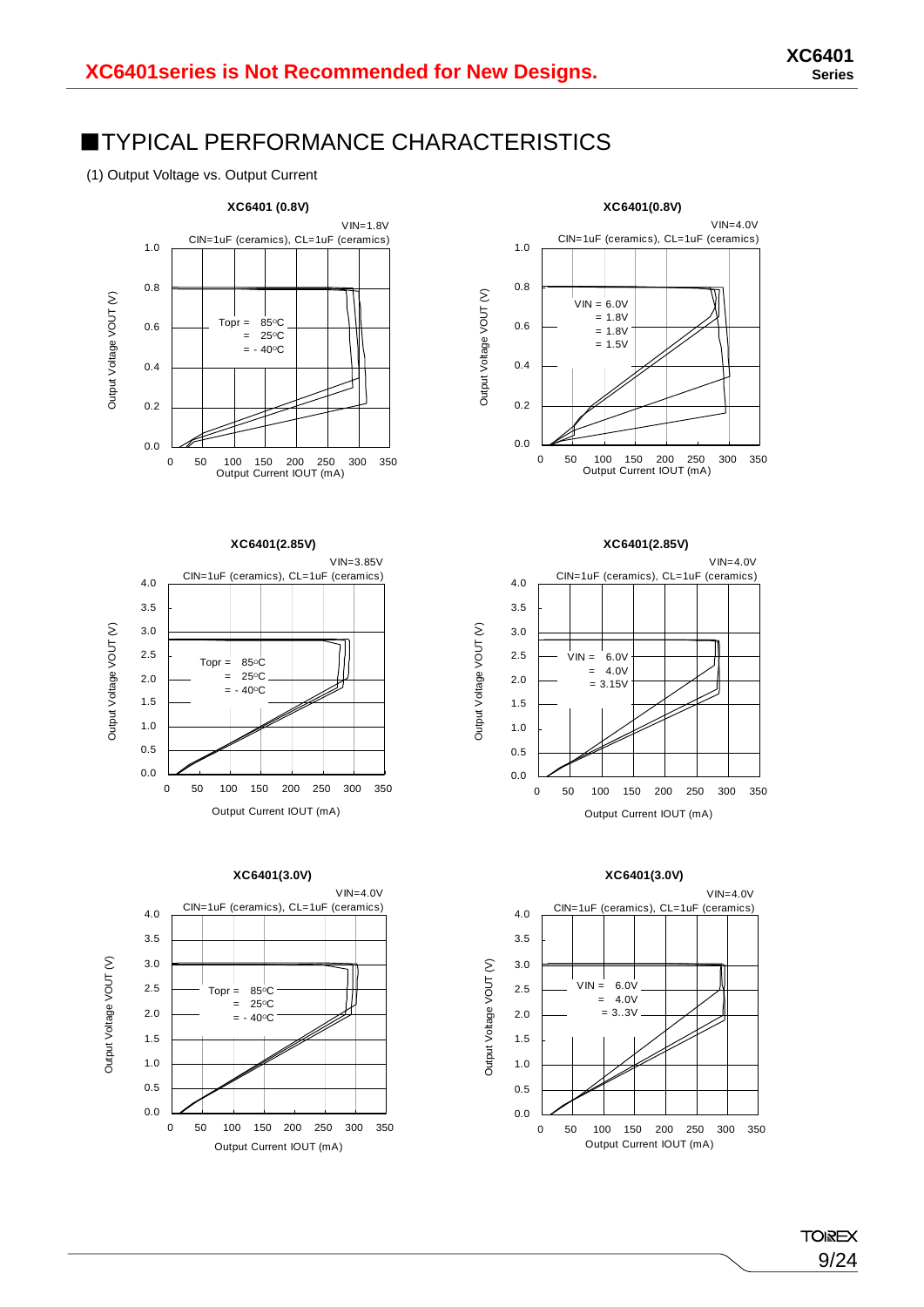9/24

**TOIREX** 

### ■TYPICAL PERFORMANCE CHARACTERISTICS

(1) Output Voltage vs. Output Current







**XC6401(3.0V)**

 $Topr = 85^{\circ}C$  $= 250$ C  $= -40^{\circ}C$ 

CIN=1uF (ceramics), CL=1uF (ceramics)

VIN=4.0V

0 50 100 150 200 250 300 350 Output Current IOUT (mA)

VIN=4.0V CIN=1uF (ceramics), CL=1uF (ceramics) 1.0 0.8 Output Voltage VOUT (V) Output Voltage VOUT (V)  $VIN = 6.0V$  $= 1.8V$ 0.6  $= 1.8V$  $= 1.5V$ 0.4 0.2 0.0 0 50 100 150 200 250 300 350 Output Current IOUT (mA)

**XC6401(0.8V)**



Output Voltage VOUT (V)

Output Voltage VOUT (V)





Output Voltage VOUT (V) Output Voltage VOUT (V)



0.0 0.5 1.0 1.5 2.0 2.5 3.0 3.5 4.0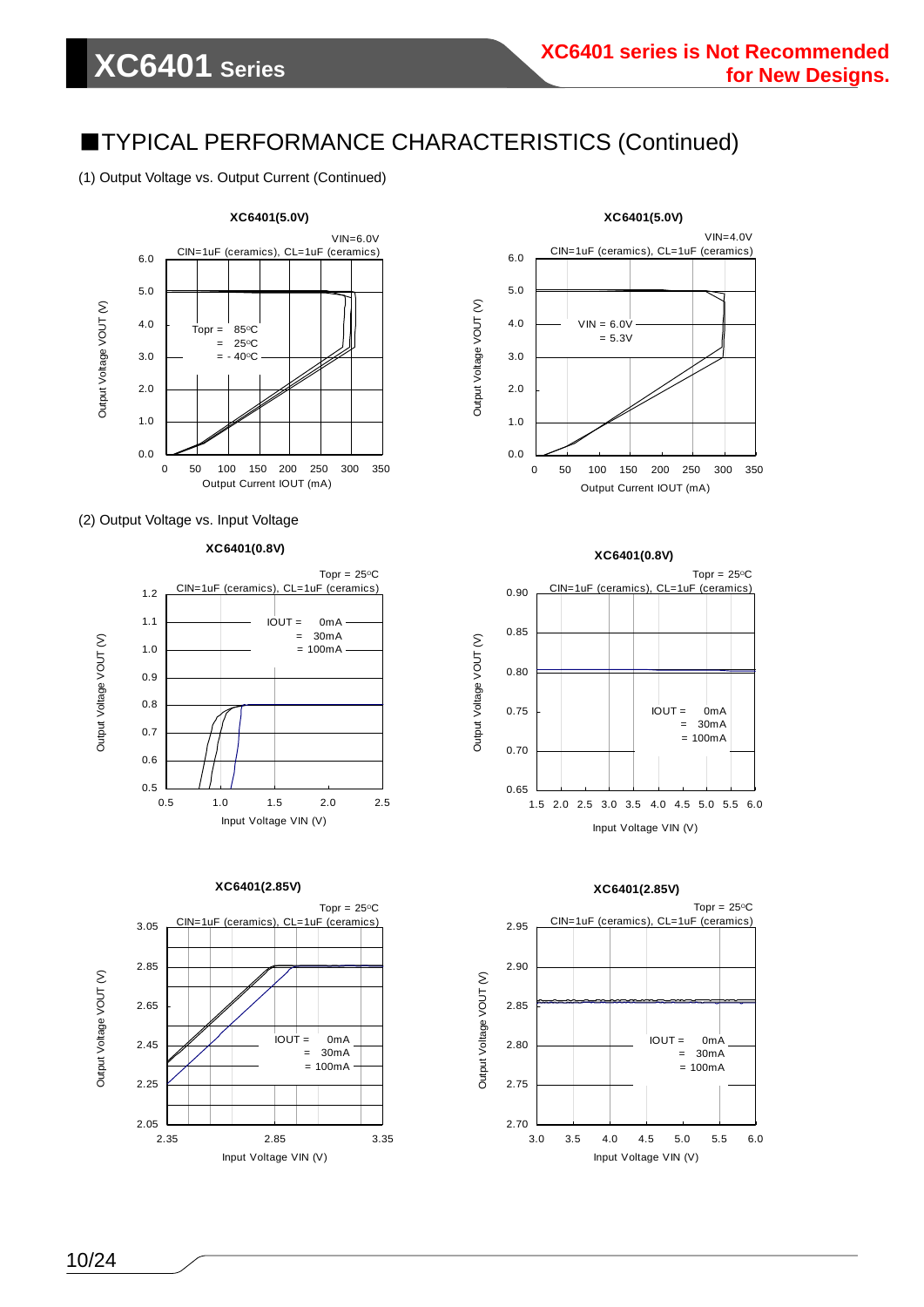(1) Output Voltage vs. Output Current (Continued)



#### (2) Output Voltage vs. Input Voltage













1.5 2.0 2.5 3.0 3.5 4.0 4.5 5.0 5.5 6.0 Input Voltage VIN (V)

0.65

Output Voltage VOUT (V)

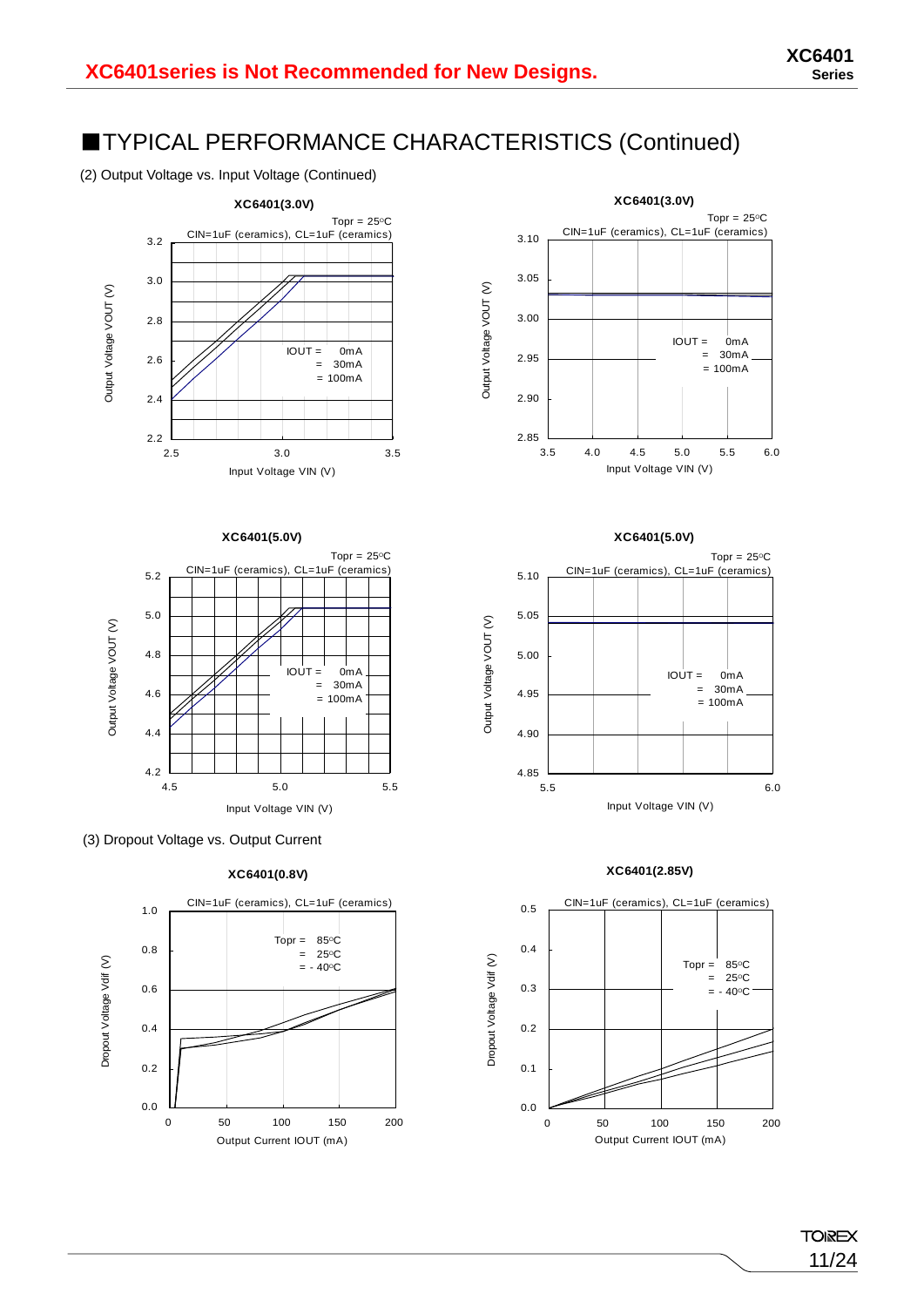(2) Output Voltage vs. Input Voltage (Continued)









**XC6401(0.8V)**









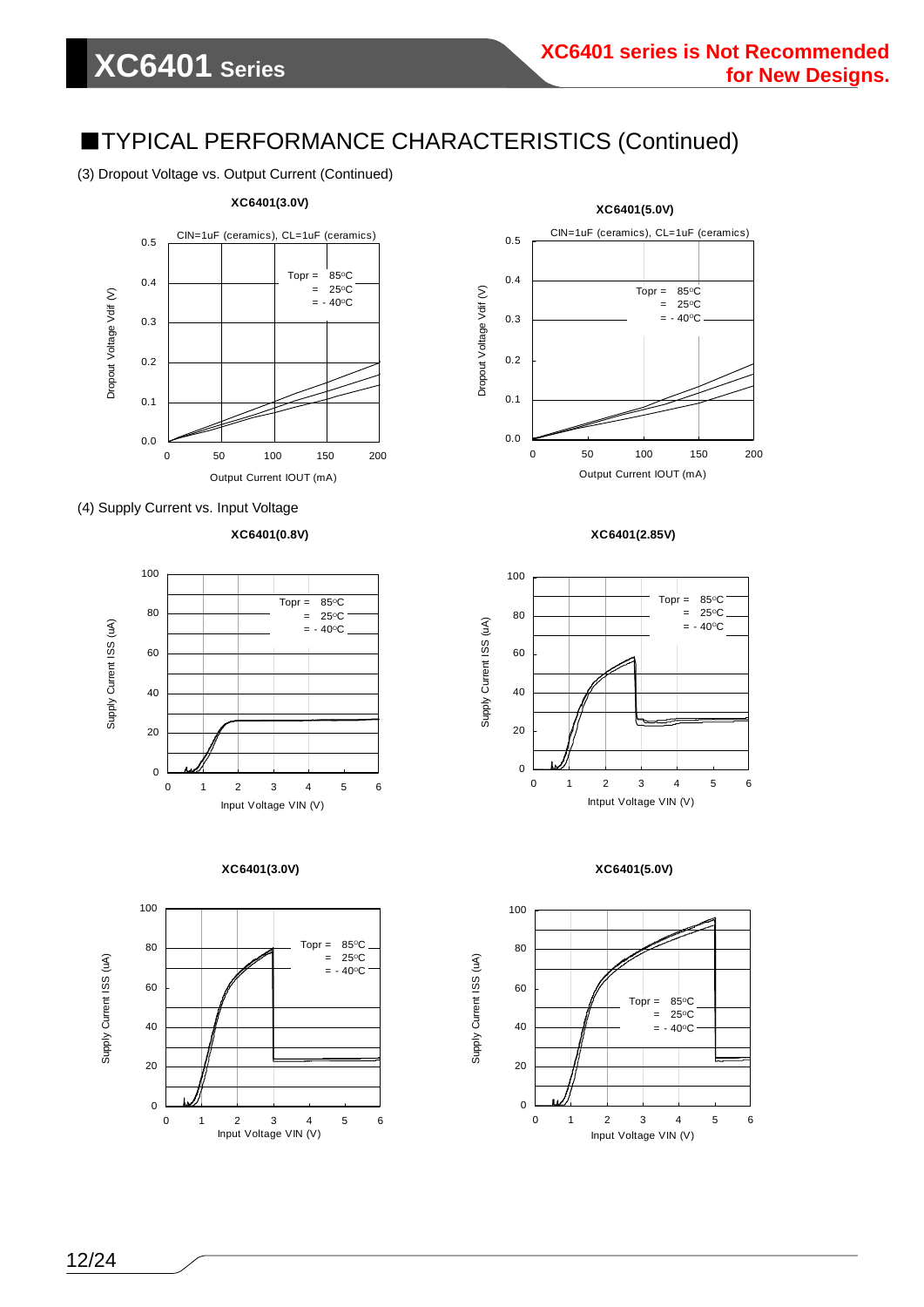(3) Dropout Voltage vs. Output Current (Continued)



#### (4) Supply Current vs. Input Voltage

**XC6401(0.8V)**













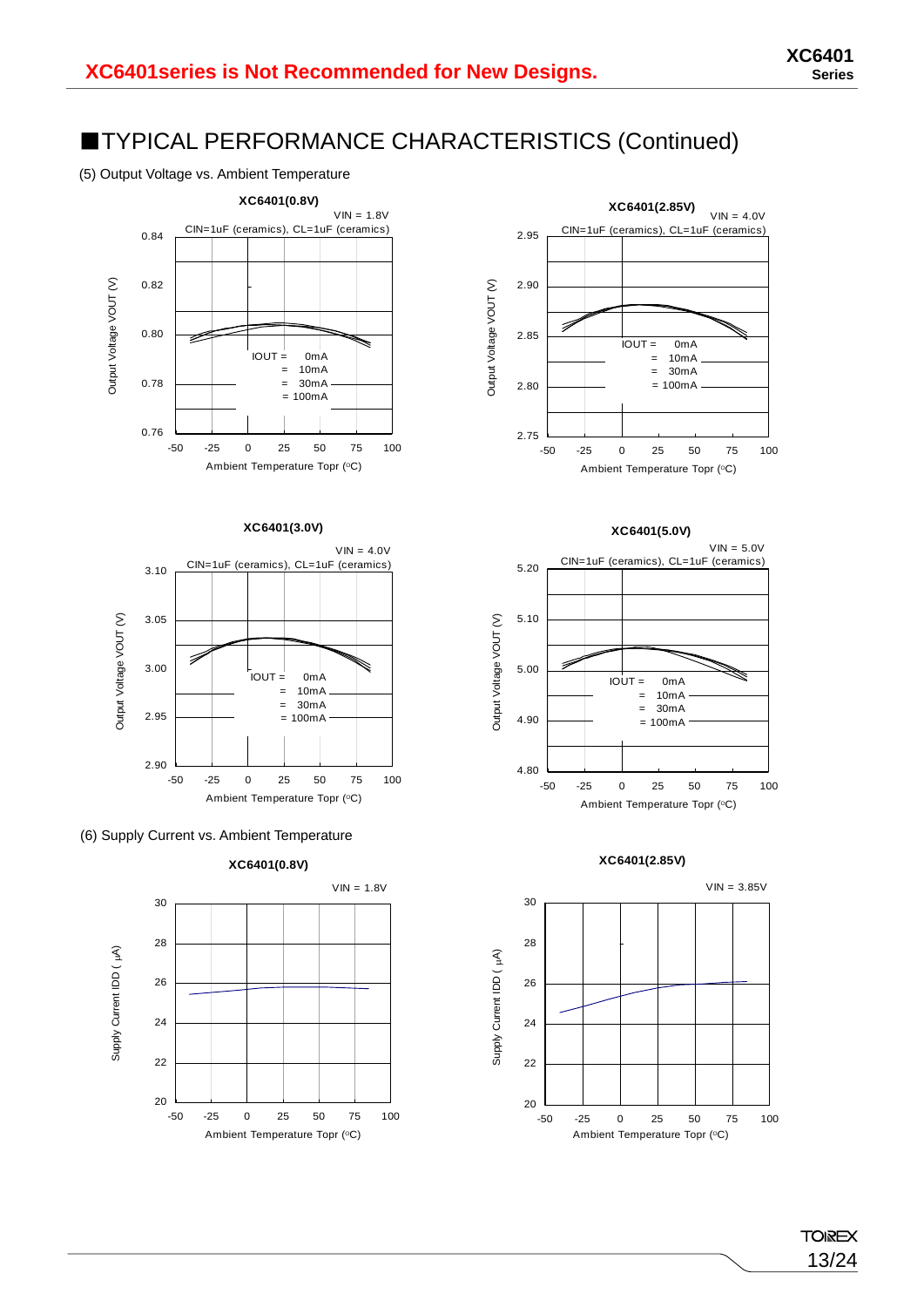(5) Output Voltage vs. Ambient Temperature



#### **XC6401(3.0V)**









#### **XC6401(5.0V)**



#### **XC6401(2.85V)**



**TOIREX** 13/24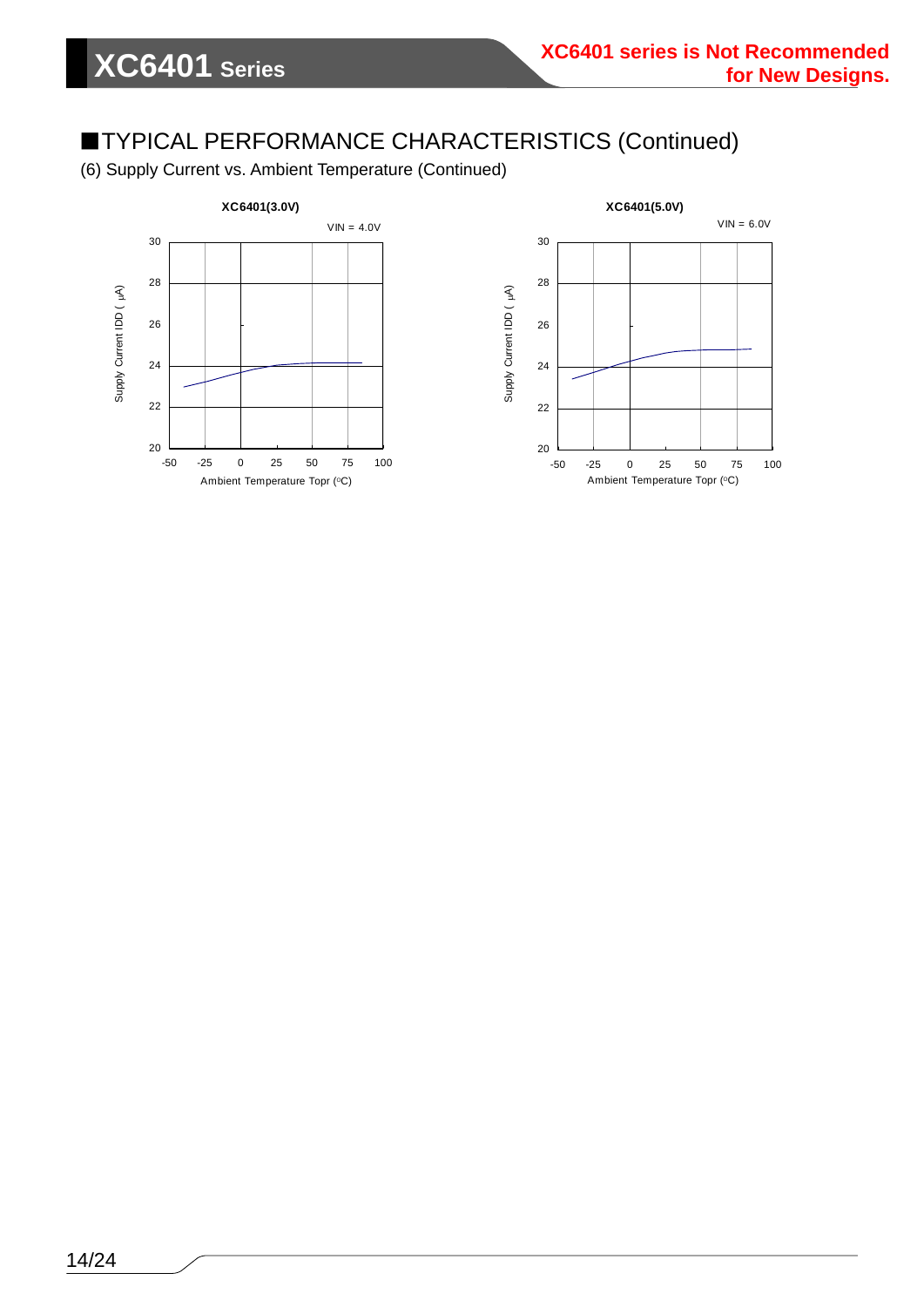(6) Supply Current vs. Ambient Temperature (Continued)

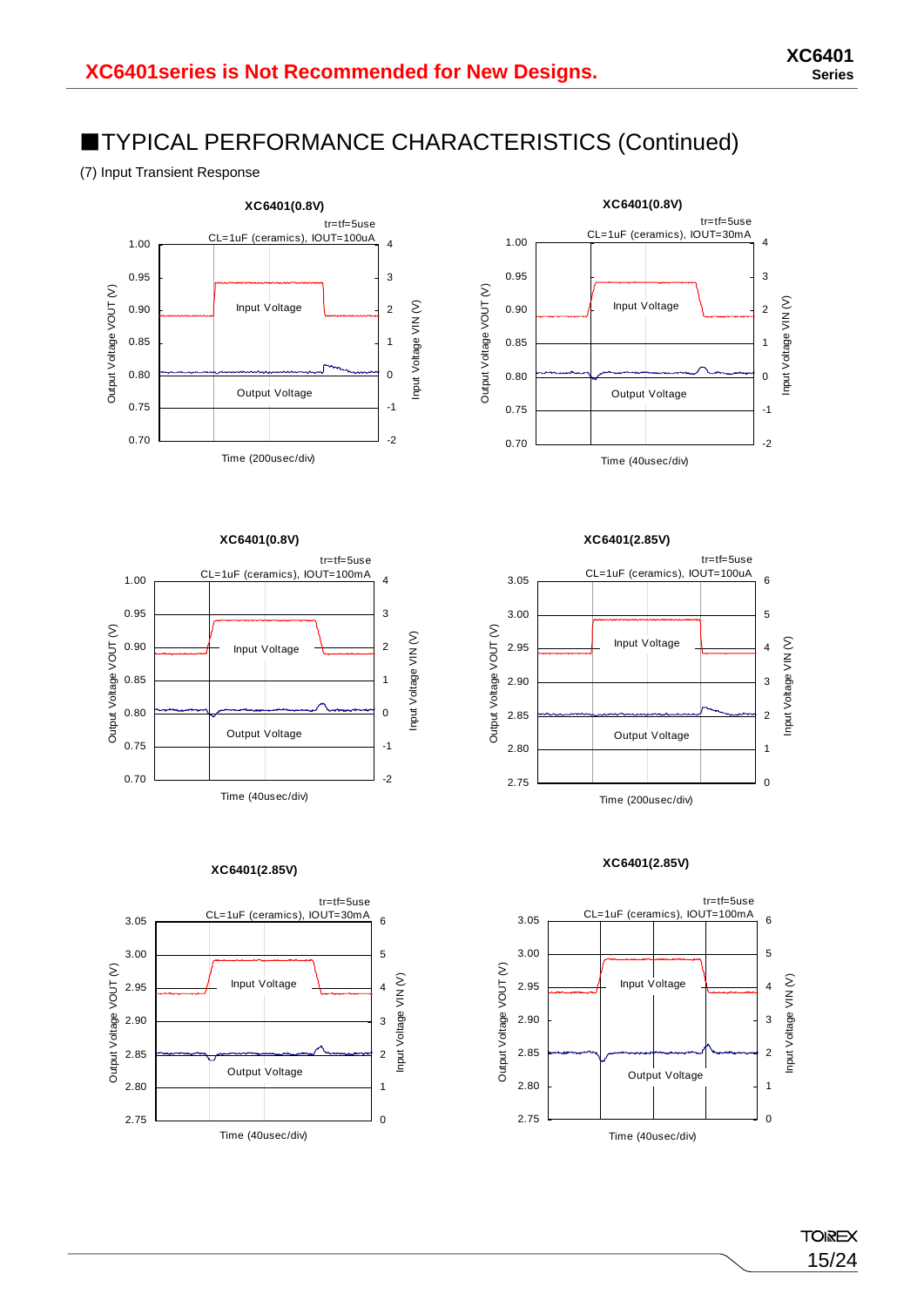(7) Input Transient Response





**XC6401(0.8V)**





**XC6401(2.85V)**



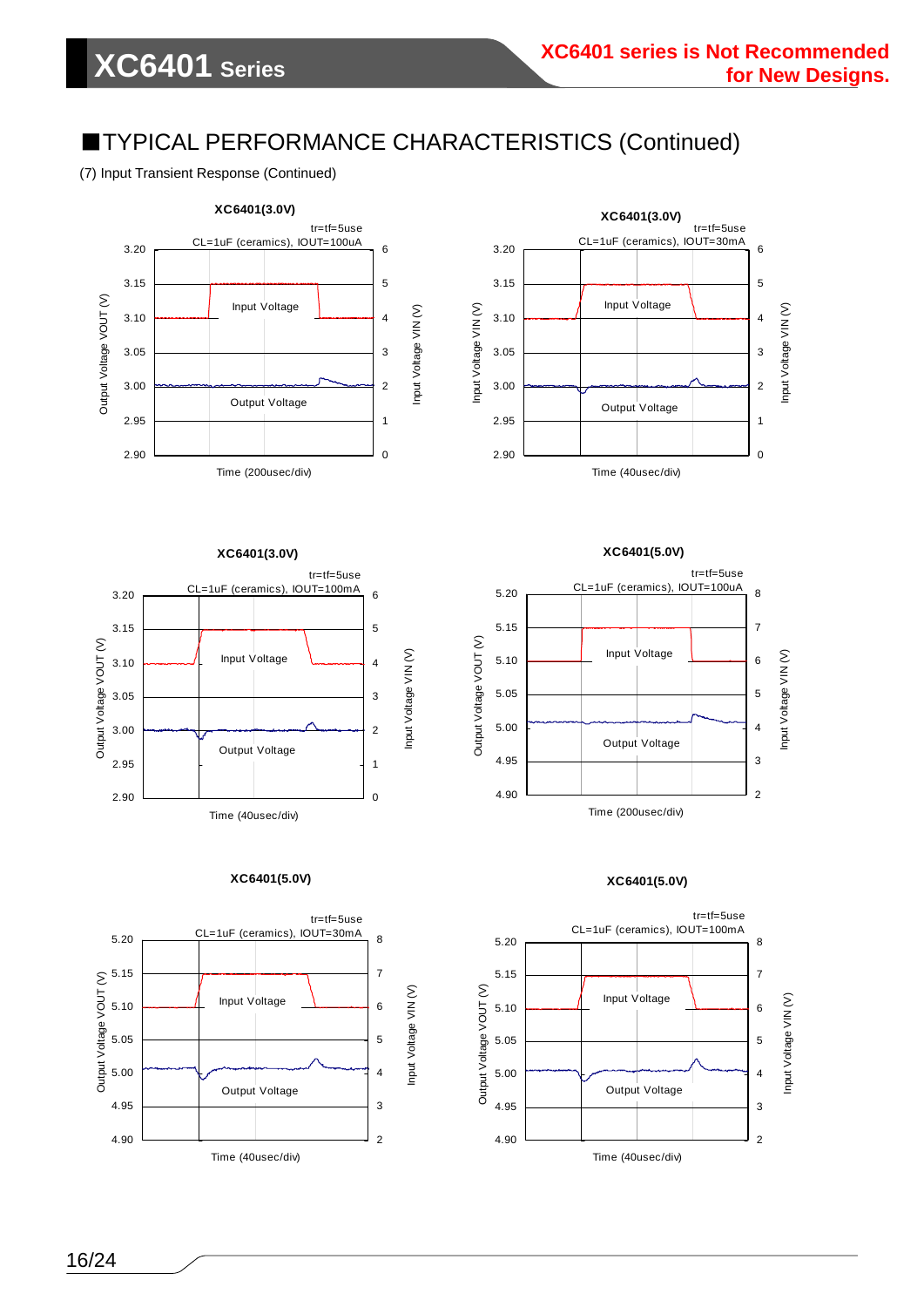(7) Input Transient Response (Continued)





**XC6401(3.0V)**



**XC6401(5.0V)**



**XC6401(5.0V)** tr=tf=5use



**XC6401(5.0V)**

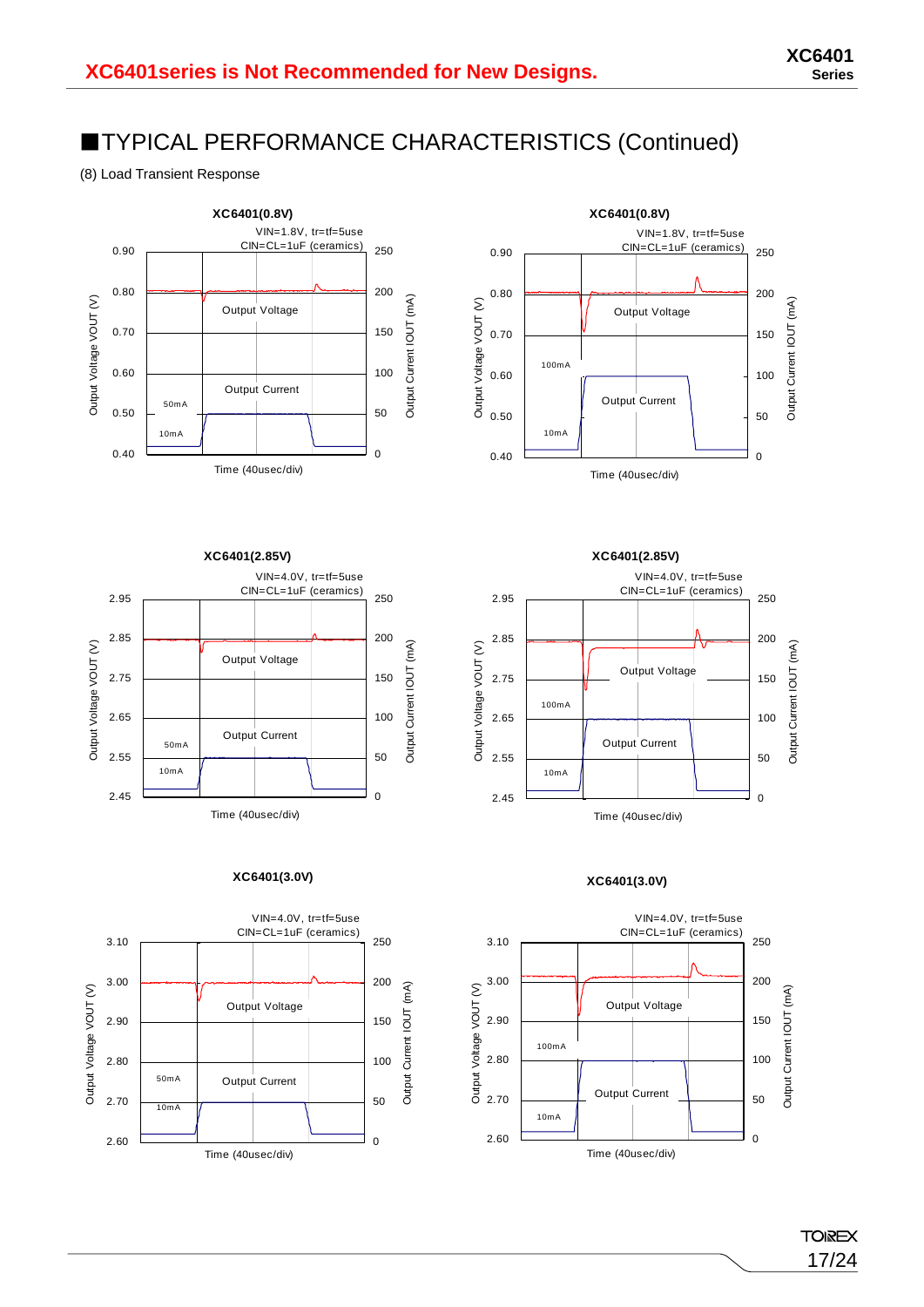(8) Load Transient Response





**XC6401(2.85V)** VIN=4.0V, tr=tf=5use CIN=CL=1uF (ceramics) 2.95 250 2.85 200  $\widehat{\geq}$  $(mA)$ Output Voltage VOUT (V) Output Current IOUT (mA) Output Voltage Output Voltage VOUT  $\overline{C}$ 2.75 150 Current 2.65 100 Output Current Output 50mA 2.55 50 10mA 2.45 0 Time (40usec/div)

#### **XC6401(3.0V)**





#### **XC6401(3.0V)**



**TOIREX** 17/24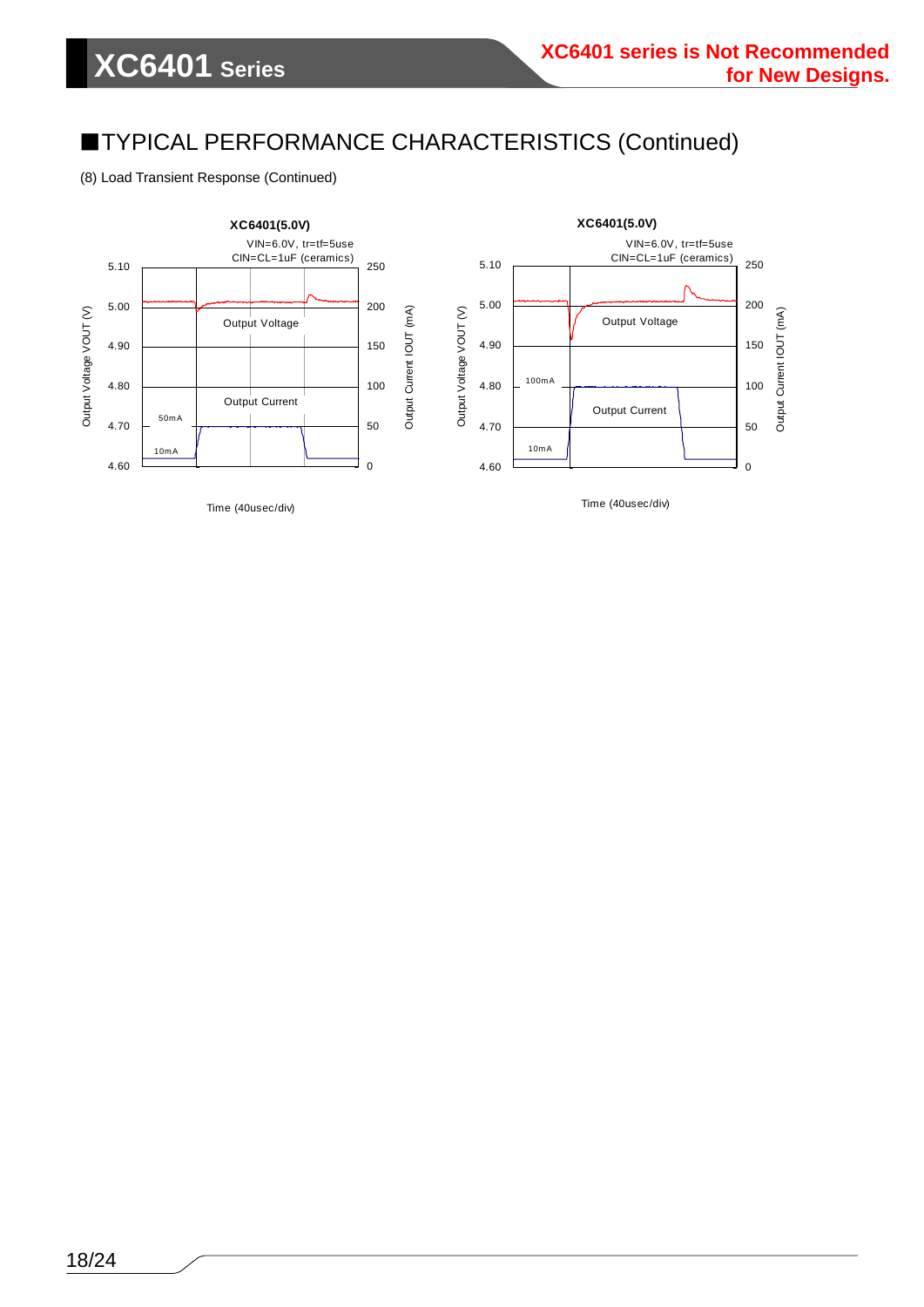(8) Load Transient Response (Continued)



18/24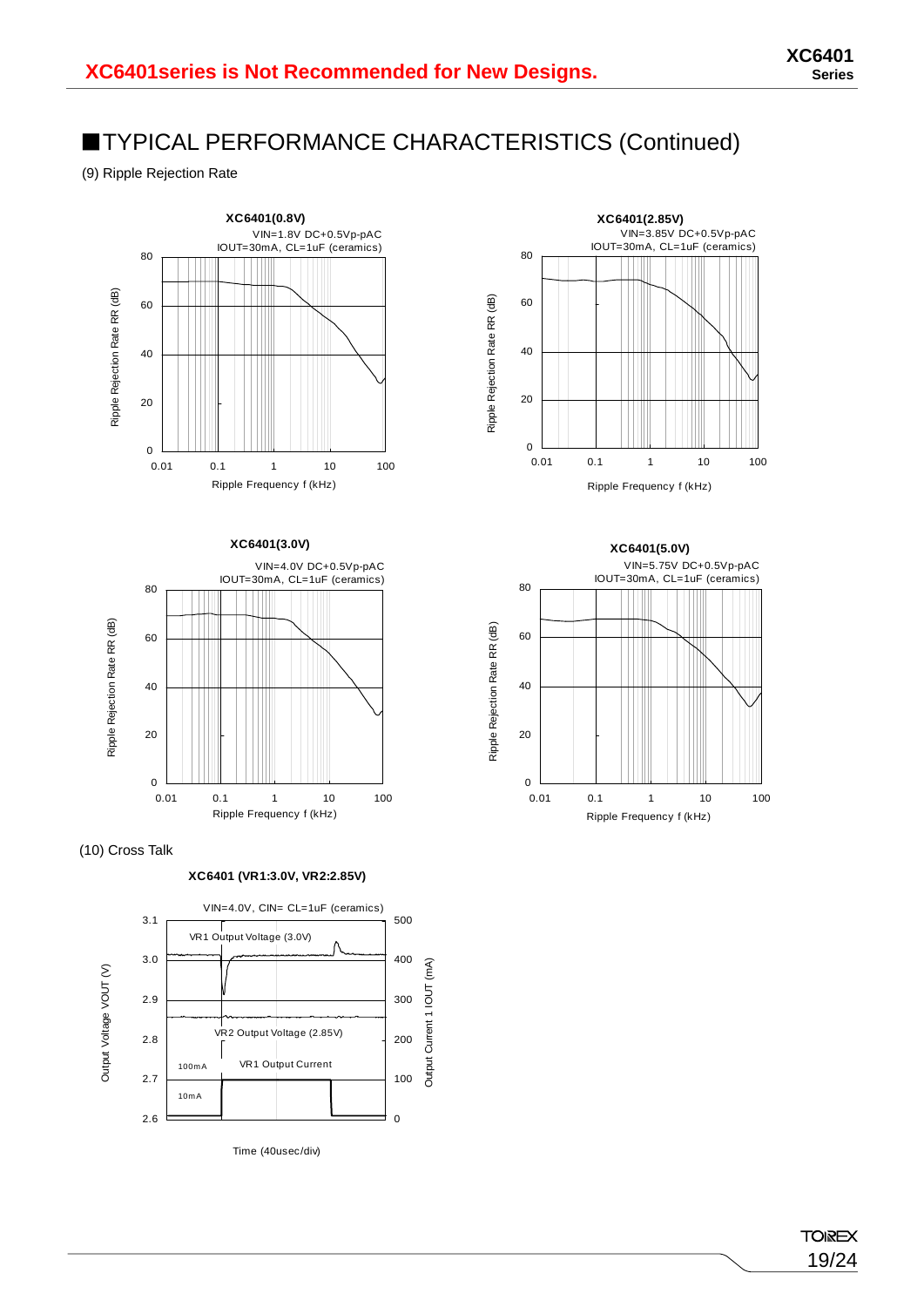(9) Ripple Rejection Rate









**XC6401 (VR1:3.0V, VR2:2.85V)**





**XC6401(5.0V)** VIN=5.75V DC+0.5Vp-pAC IOUT=30mA, CL=1uF (ceramics) 80 Ripple Rejection Rate RR (dB) 60 40 20 0 0.01 0.1 1 10 100 Ripple Frequency f (kHz)

Ripple Rejection Rate RR (dB)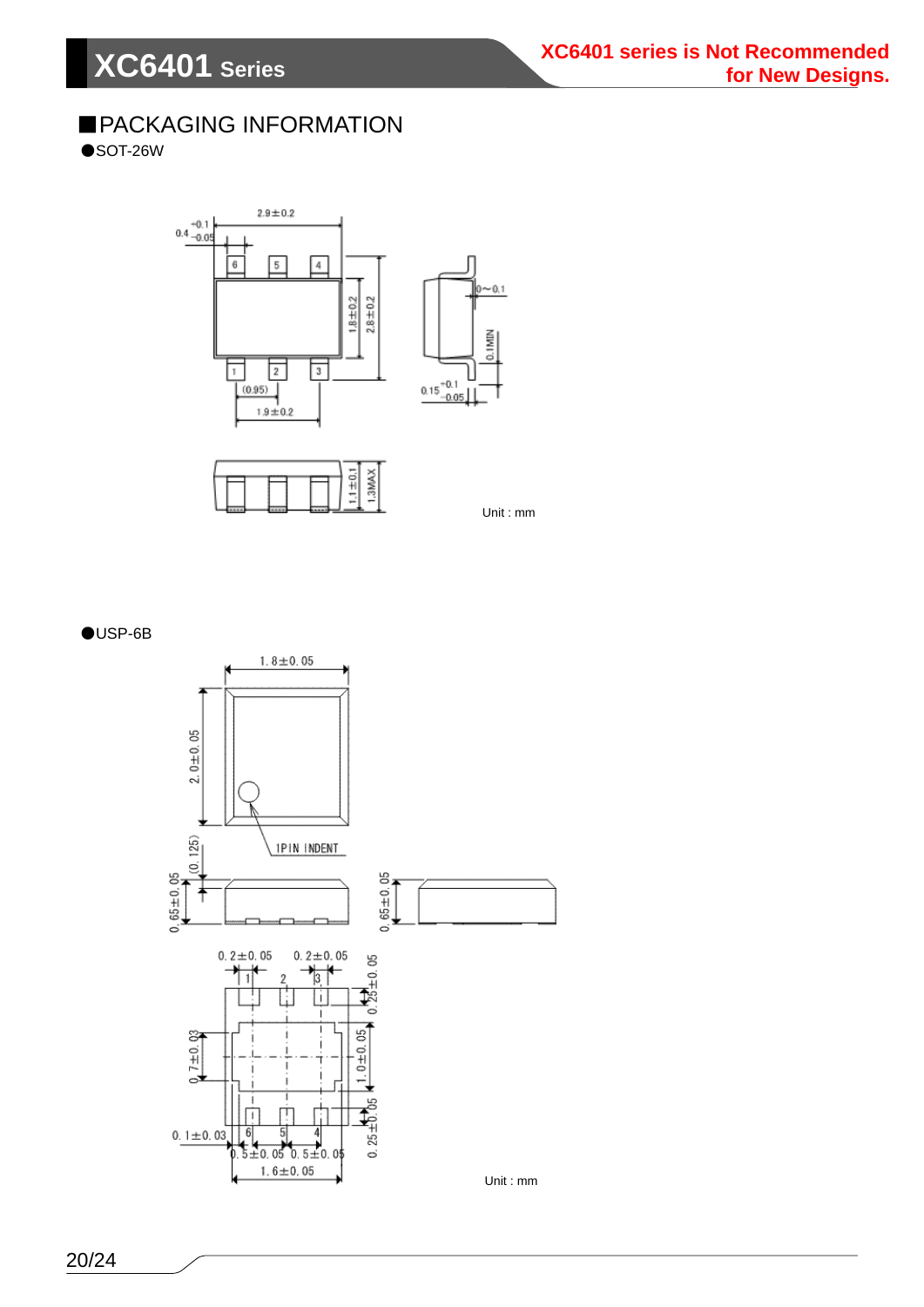### ■PACKAGING INFORMATION

 $\bullet$ SOT-26W





Unit : mm

#### ●USP-6B

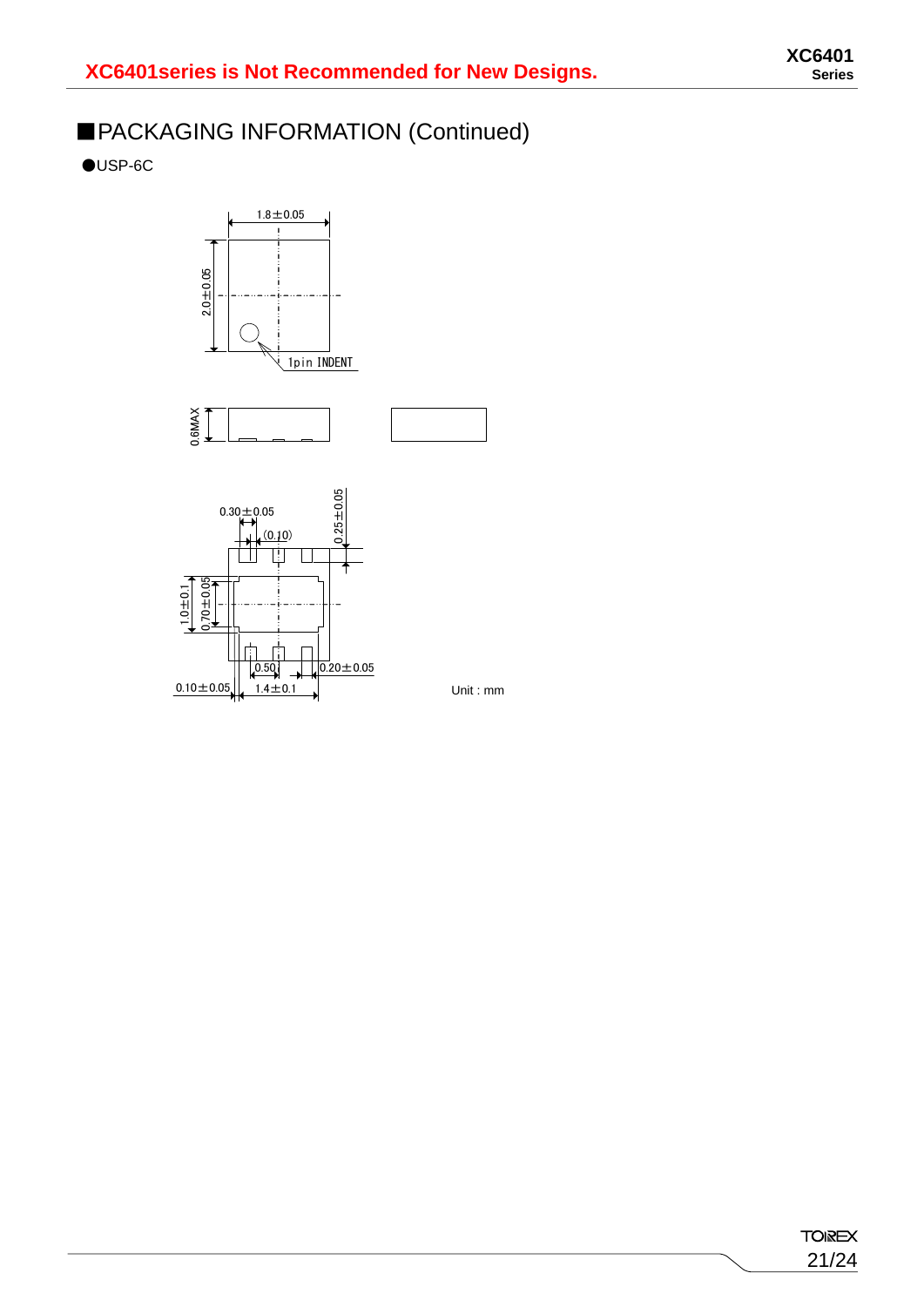### ■PACKAGING INFORMATION (Continued)

 $\bigcirc$ USP-6C







Unit : mm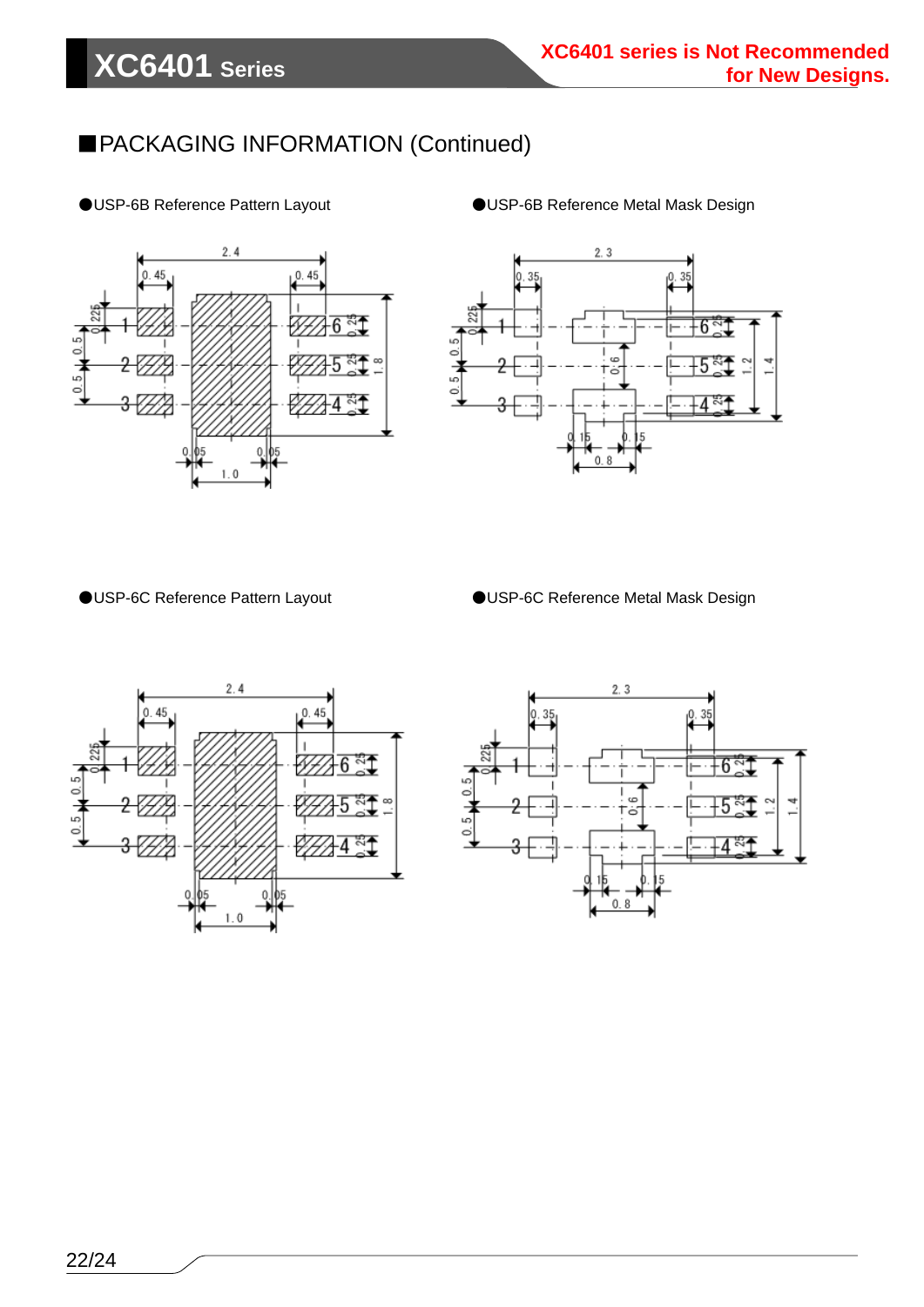### ■PACKAGING INFORMATION (Continued)



#### ●USP-6B Reference Pattern Layout ●USP-6B Reference Metal Mask Design



●USP-6C Reference Pattern Layout ●USP-6C Reference Metal Mask Design



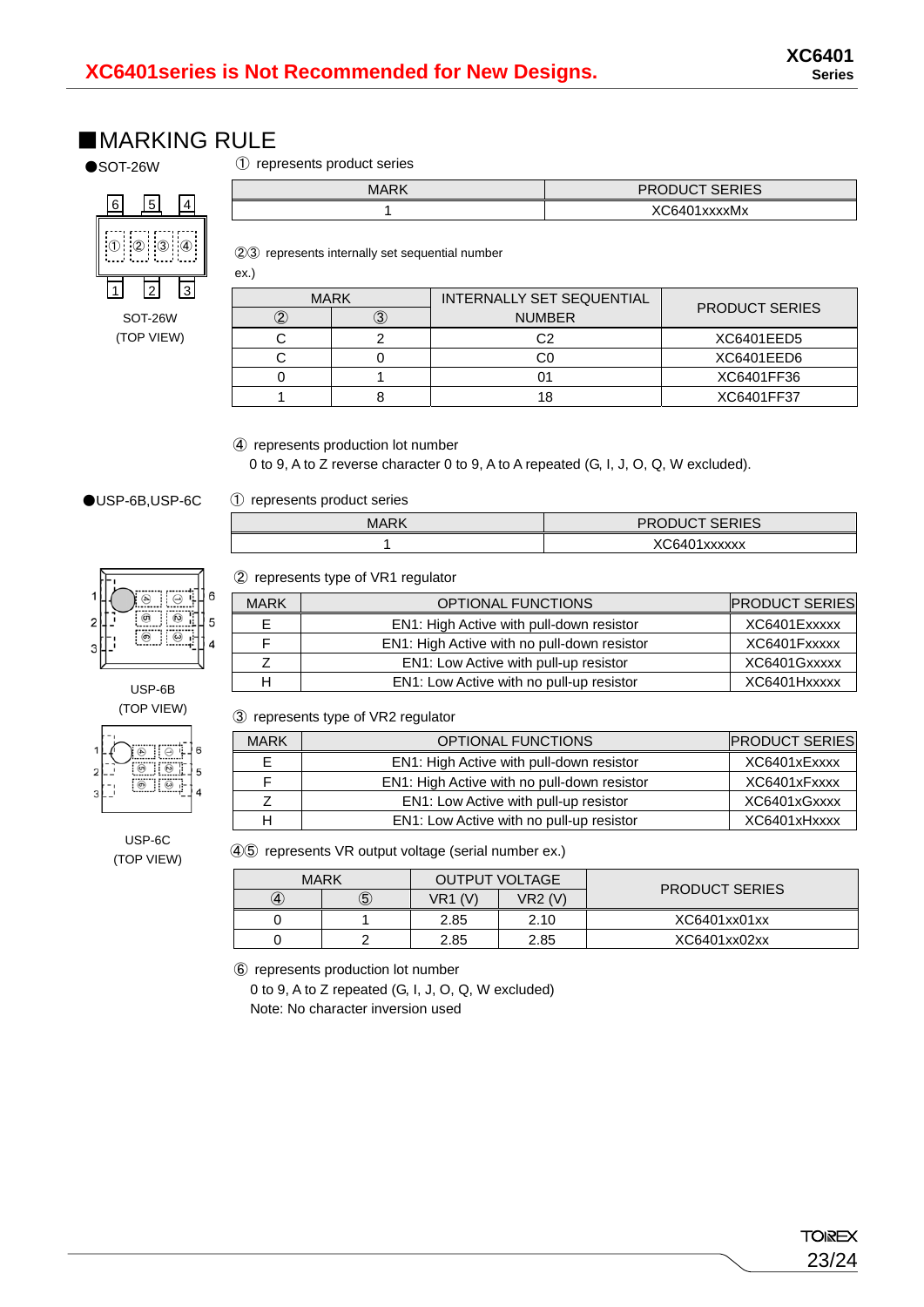PRODUCT SERIES

### ■**MARKING RULE**

 $\bullet$ SOT-26W

① represents product series

| 6 | 5                                     |  |
|---|---------------------------------------|--|
|   | $\begin{bmatrix} 2 & 3 \end{bmatrix}$ |  |
|   |                                       |  |

SOT-26W (TOP VIEW)

| <b>MARK</b> |
|-------------|

②③ represents internally set sequential number

| ex.)        |    |                           |                       |
|-------------|----|---------------------------|-----------------------|
| <b>MARK</b> |    | INTERNALLY SET SEQUENTIAL |                       |
|             | З) | <b>NUMBER</b>             | <b>PRODUCT SERIES</b> |
|             |    | C2                        | XC6401EED5            |
|             |    |                           | XC6401EED6            |
|             |    |                           | XC6401FF36            |
|             |    |                           | XC6401FF37            |

1 XC6401xxxxMx

④ represents production lot number

0 to 9, A to Z reverse character 0 to 9, A to A repeated (G, I, J, O, Q, W excluded).

#### ●USP-6B,USP-6C

① represents product series

| MARK | <b>PRODUCT SERIES</b> |
|------|-----------------------|
|      | XC6401xxxxxx          |

#### ② represents type of VR1 regulator

| 6 | <b>MARK</b> | <b>OPTIONAL FUNCTIONS</b>                   | <b>PRODUCT SERIES</b> |
|---|-------------|---------------------------------------------|-----------------------|
| 5 |             | EN1: High Active with pull-down resistor    | XC6401Exxxxx          |
| 4 |             | EN1: High Active with no pull-down resistor | XC6401Fxxxxx          |
|   |             | EN1: Low Active with pull-up resistor       | XC6401Gxxxxx          |
|   |             | EN1: Low Active with no pull-up resistor    | XC6401Hxxxxx          |

③ represents type of VR2 regulator

| <b>MARK</b> | OPTIONAL FUNCTIONS                          | <b>PRODUCT SERIES</b> |
|-------------|---------------------------------------------|-----------------------|
|             | EN1: High Active with pull-down resistor    | XC6401xExxxx          |
|             | EN1: High Active with no pull-down resistor | XC6401xFxxxx          |
|             | EN1: Low Active with pull-up resistor       | XC6401xGxxxx          |
|             | EN1: Low Active with no pull-up resistor    | XC6401xHxxxx          |

USP-6C (TOP VIEW)

ெ  $\blacksquare$ 

USP-6B (TOP VIEW)

> ...........<br>آب 6

 $\overline{\circ}$ ö

5

 $\overline{A}$ 

④⑤ represents VR output voltage (serial number ex.)

|     | <b>MARK</b> | <b>OUTPUT VOLTAGE</b> |                | <b>PRODUCT SERIES</b> |  |
|-----|-------------|-----------------------|----------------|-----------------------|--|
| (4) | $\circledS$ | $VR1$ (V)             | <b>VR2 (V)</b> |                       |  |
|     |             | 2.85                  | 2.10           | XC6401xx01xx          |  |
|     |             | 2.85                  | 2.85           | XC6401xx02xx          |  |

⑥ represents production lot number

0 to 9, A to Z repeated (G, I, J, O, Q, W excluded) Note: No character inversion used